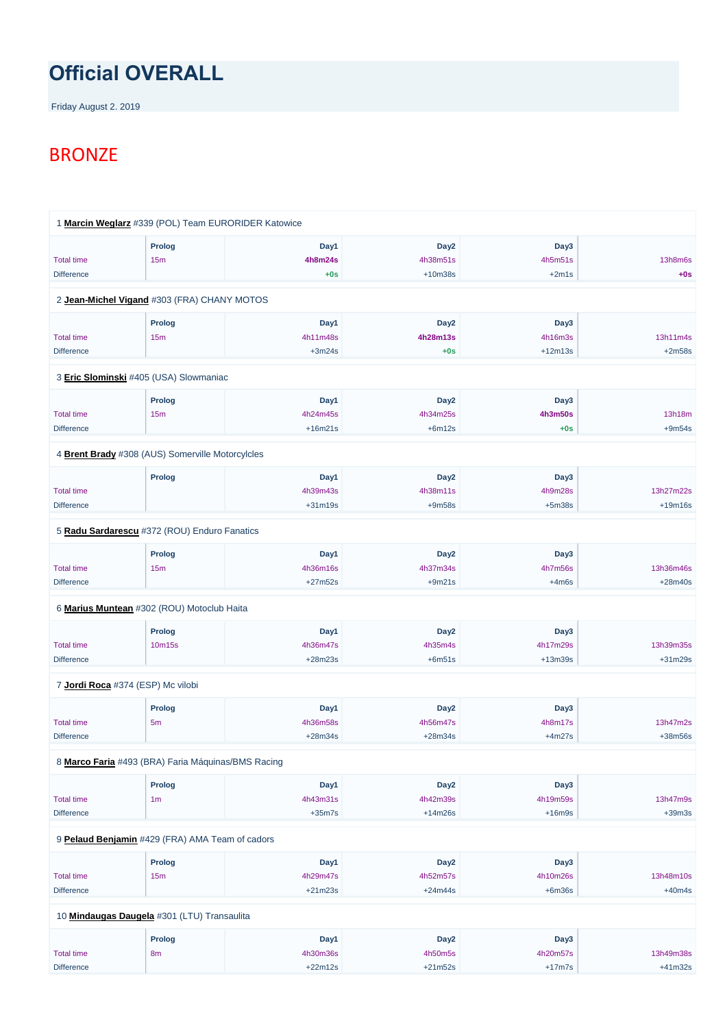## **Official OVERALL**

Friday August 2. 2019

## BRONZE

|                                        | 1 Marcin Weglarz #339 (POL) Team EURORIDER Katowice |                               |                                           |                                 |                        |
|----------------------------------------|-----------------------------------------------------|-------------------------------|-------------------------------------------|---------------------------------|------------------------|
| <b>Total time</b><br><b>Difference</b> | <b>Prolog</b><br>15m                                | Day1<br>4h8m24s<br>$+0s$      | Day <sub>2</sub><br>4h38m51s<br>$+10m38s$ | Day3<br>4h5m51s<br>$+2m1s$      | 13h8m6s<br>$+0s$       |
|                                        | 2 Jean-Michel Vigand #303 (FRA) CHANY MOTOS         |                               |                                           |                                 |                        |
| <b>Total time</b><br><b>Difference</b> | <b>Prolog</b><br>15m                                | Day1<br>4h11m48s<br>$+3m24s$  | Day <sub>2</sub><br>4h28m13s<br>$+0s$     | Day3<br>4h16m3s<br>$+12m13s$    | 13h11m4s<br>$+2m58s$   |
|                                        | 3 Eric Slominski #405 (USA) Slowmaniac              |                               |                                           |                                 |                        |
| <b>Total time</b><br><b>Difference</b> | <b>Prolog</b><br>15m                                | Day1<br>4h24m45s<br>$+16m21s$ | Day <sub>2</sub><br>4h34m25s<br>$+6m12s$  | Day3<br><b>4h3m50s</b><br>$+0s$ | 13h18m<br>$+9m54s$     |
|                                        | 4 Brent Brady #308 (AUS) Somerville Motorcylcles    |                               |                                           |                                 |                        |
| <b>Total time</b><br><b>Difference</b> | Prolog                                              | Day1<br>4h39m43s<br>$+31m19s$ | Day <sub>2</sub><br>4h38m11s<br>$+9m58s$  | Day3<br>4h9m28s<br>$+5m38s$     | 13h27m22s<br>$+19m16s$ |
|                                        | 5 Radu Sardarescu #372 (ROU) Enduro Fanatics        |                               |                                           |                                 |                        |
| <b>Total time</b><br><b>Difference</b> | Prolog<br>15m                                       | Day1<br>4h36m16s<br>$+27m52s$ | Day <sub>2</sub><br>4h37m34s<br>$+9m21s$  | Day3<br>4h7m56s<br>$+4m6s$      | 13h36m46s<br>$+28m40s$ |
|                                        | 6 Marius Muntean #302 (ROU) Motoclub Haita          |                               |                                           |                                 |                        |
| <b>Total time</b><br><b>Difference</b> | Prolog<br>10m15s                                    | Day1<br>4h36m47s<br>$+28m23s$ | Day <sub>2</sub><br>4h35m4s<br>$+6m51s$   | Day3<br>4h17m29s<br>$+13m39s$   | 13h39m35s<br>$+31m29s$ |
| 7 Jordi Roca #374 (ESP) Mc vilobi      |                                                     |                               |                                           |                                 |                        |
| <b>Total time</b><br><b>Difference</b> | <b>Prolog</b><br>5m                                 | Day1<br>4h36m58s<br>$+28m34s$ | Day <sub>2</sub><br>4h56m47s<br>$+28m34s$ | Day3<br>4h8m17s<br>$+4m27s$     | 13h47m2s<br>+38m56s    |

8 **[Marco Faria](https://www.redbullromaniacs.com/for-competitors/profile/?e=rbr2019&b=493)** #493 (BRA) Faria Máquinas/BMS Racing

|                                                 | <b>Prolog</b>   | Day1      | Day <sub>2</sub> | Day3     |           |
|-------------------------------------------------|-----------------|-----------|------------------|----------|-----------|
| <b>Total time</b>                               | 1 <sub>m</sub>  | 4h43m31s  | 4h42m39s         | 4h19m59s | 13h47m9s  |
| <b>Difference</b>                               |                 | $+35m7s$  | $+14m26s$        | $+16m9s$ | $+39m3s$  |
| 9 Pelaud Benjamin #429 (FRA) AMA Team of cadors |                 |           |                  |          |           |
|                                                 | <b>Prolog</b>   | Day1      | Day <sub>2</sub> | Day3     |           |
| <b>Total time</b>                               | 15 <sub>m</sub> | 4h29m47s  | 4h52m57s         | 4h10m26s | 13h48m10s |
| <b>Difference</b>                               |                 | $+21m23s$ | $+24m44s$        | $+6m36s$ | $+40m4s$  |
| 10 Mindaugas Daugela #301 (LTU) Transaulita     |                 |           |                  |          |           |
|                                                 | <b>Prolog</b>   | Day1      | Day <sub>2</sub> | Day3     |           |
| <b>Total time</b>                               | 8 <sub>m</sub>  | 4h30m36s  | 4h50m5s          | 4h20m57s | 13h49m38s |
| <b>Difference</b>                               |                 | $+22m12s$ | $+21m52s$        | $+17m7s$ | $+41m32s$ |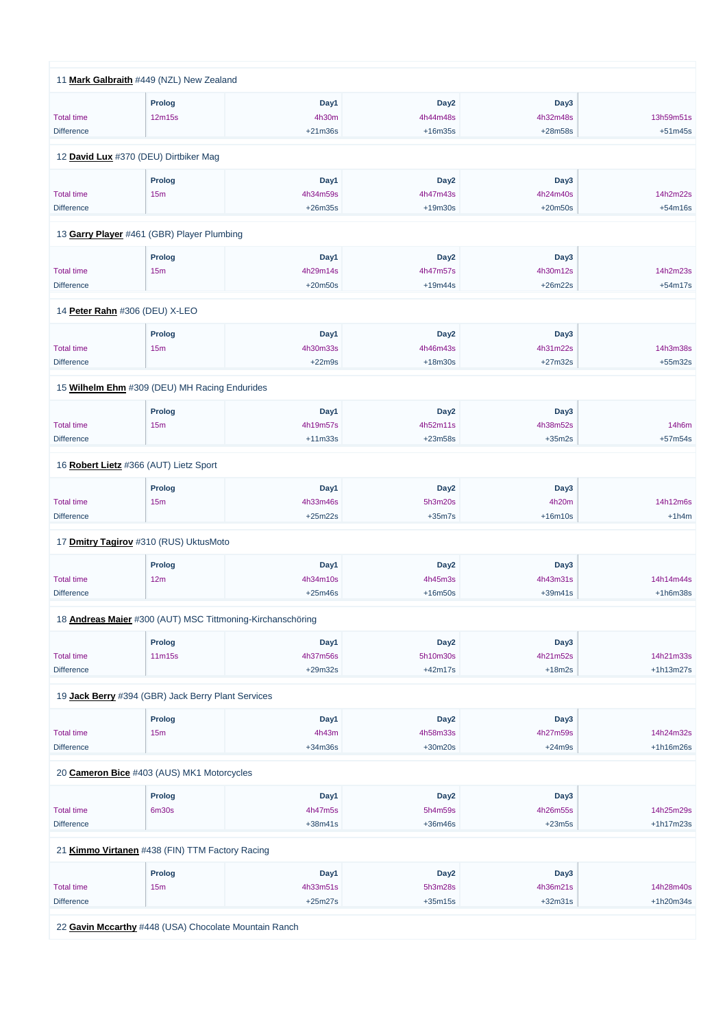| 11 Mark Galbraith #449 (NZL) New Zealand           |                 |                                                            |                  |           |             |
|----------------------------------------------------|-----------------|------------------------------------------------------------|------------------|-----------|-------------|
|                                                    | <b>Prolog</b>   | Day1                                                       | Day <sub>2</sub> | Day3      |             |
| <b>Total time</b>                                  | 12m15s          | 4h30m                                                      | 4h44m48s         | 4h32m48s  | 13h59m51s   |
| <b>Difference</b>                                  |                 | $+21m36s$                                                  | $+16m35s$        | $+28m58s$ | $+51m45s$   |
|                                                    |                 |                                                            |                  |           |             |
| 12 David Lux #370 (DEU) Dirtbiker Mag              |                 |                                                            |                  |           |             |
|                                                    | <b>Prolog</b>   | Day1                                                       | Day <sub>2</sub> | Day3      |             |
| <b>Total time</b>                                  | 15 <sub>m</sub> | 4h34m59s                                                   | 4h47m43s         | 4h24m40s  | 14h2m22s    |
| <b>Difference</b>                                  |                 | $+26m35s$                                                  | $+19m30s$        | $+20m50s$ | $+54m16s$   |
|                                                    |                 |                                                            |                  |           |             |
| 13 Garry Player #461 (GBR) Player Plumbing         |                 |                                                            |                  |           |             |
|                                                    | <b>Prolog</b>   | Day1                                                       | Day <sub>2</sub> | Day3      |             |
| <b>Total time</b>                                  | 15m             | 4h29m14s                                                   | 4h47m57s         | 4h30m12s  | 14h2m23s    |
| <b>Difference</b>                                  |                 | $+20m50s$                                                  | $+19m44s$        | $+26m22s$ | $+54m17s$   |
|                                                    |                 |                                                            |                  |           |             |
| 14 Peter Rahn #306 (DEU) X-LEO                     |                 |                                                            |                  |           |             |
|                                                    | <b>Prolog</b>   | Day1                                                       | Day <sub>2</sub> | Day3      |             |
| <b>Total time</b>                                  | 15m             | 4h30m33s                                                   | 4h46m43s         | 4h31m22s  | 14h3m38s    |
| <b>Difference</b>                                  |                 | $+22m9s$                                                   | $+18m30s$        | $+27m32s$ | $+55m32s$   |
|                                                    |                 |                                                            |                  |           |             |
| 15 Wilhelm Ehm #309 (DEU) MH Racing Endurides      |                 |                                                            |                  |           |             |
|                                                    | <b>Prolog</b>   | Day1                                                       | Day <sub>2</sub> | Day3      |             |
| <b>Total time</b>                                  | 15m             | 4h19m57s                                                   | 4h52m11s         | 4h38m52s  | 14h6m       |
| <b>Difference</b>                                  |                 | $+11m33s$                                                  | $+23m58s$        | $+35m2s$  | $+57m54s$   |
|                                                    |                 |                                                            |                  |           |             |
| 16 Robert Lietz #366 (AUT) Lietz Sport             |                 |                                                            |                  |           |             |
|                                                    | <b>Prolog</b>   | Day1                                                       | Day <sub>2</sub> | Day3      |             |
| <b>Total time</b>                                  | 15m             | 4h33m46s                                                   | 5h3m20s          | 4h20m     | 14h12m6s    |
| <b>Difference</b>                                  |                 | $+25m22s$                                                  | $+35m7s$         | $+16m10s$ | $+1h4m$     |
| 17 Dmitry Tagirov #310 (RUS) UktusMoto             |                 |                                                            |                  |           |             |
|                                                    |                 |                                                            |                  |           |             |
|                                                    | <b>Prolog</b>   | Day1                                                       | Day <sub>2</sub> | Day3      |             |
| <b>Total time</b>                                  | 12m             | 4h34m10s                                                   | 4h45m3s          | 4h43m31s  | 14h14m44s   |
| <b>Difference</b>                                  |                 | $+25m46s$                                                  | $+16m50s$        | $+39m41s$ | $+1h6m38s$  |
|                                                    |                 |                                                            |                  |           |             |
|                                                    |                 | 18 Andreas Maier #300 (AUT) MSC Tittmoning-Kirchanschöring |                  |           |             |
|                                                    | <b>Prolog</b>   | Day1                                                       | Day <sub>2</sub> | Day3      |             |
| <b>Total time</b>                                  | 11m15s          | 4h37m56s                                                   | 5h10m30s         | 4h21m52s  | 14h21m33s   |
| <b>Difference</b>                                  |                 | $+29m32s$                                                  | $+42m17s$        | $+18m2s$  | $+1h13m27s$ |
| 19 Jack Berry #394 (GBR) Jack Berry Plant Services |                 |                                                            |                  |           |             |
|                                                    |                 |                                                            |                  |           |             |
|                                                    | <b>Prolog</b>   | Day1                                                       | Day <sub>2</sub> | Day3      |             |
| <b>Total time</b>                                  | 15m             | 4h43m                                                      | 4h58m33s         | 4h27m59s  | 14h24m32s   |
| <b>Difference</b>                                  |                 | $+34m36s$                                                  | $+30m20s$        | $+24m9s$  | +1h16m26s   |

20 **[Cameron Bice](https://www.redbullromaniacs.com/for-competitors/profile/?e=rbr2019&b=403)** #403 (AUS) MK1 Motorcycles

|                                        | Prolog                                          | Day1                  | Day <sub>2</sub>     | Day3                  |                          |
|----------------------------------------|-------------------------------------------------|-----------------------|----------------------|-----------------------|--------------------------|
| <b>Total time</b>                      | 6m30s                                           | 4h47m5s               | 5h4m59s              | 4h26m55s              | 14h25m29s                |
| <b>Difference</b>                      |                                                 | $+38m41s$             | $+36m46s$            | $+23m5s$              | $+1h17m23s$              |
|                                        | 21 Kimmo Virtanen #438 (FIN) TTM Factory Racing |                       |                      |                       |                          |
|                                        |                                                 |                       |                      |                       |                          |
|                                        | Prolog                                          | Day1                  | Day <sub>2</sub>     | Day3                  |                          |
|                                        |                                                 |                       |                      |                       |                          |
| <b>Total time</b><br><b>Difference</b> | 15 <sub>m</sub>                                 | 4h33m51s<br>$+25m27s$ | 5h3m28s<br>$+35m15s$ | 4h36m21s<br>$+32m31s$ | 14h28m40s<br>$+1h20m34s$ |

22 **[Gavin Mccarthy](https://www.redbullromaniacs.com/for-competitors/profile/?e=rbr2019&b=448)** #448 (USA) Chocolate Mountain Ranch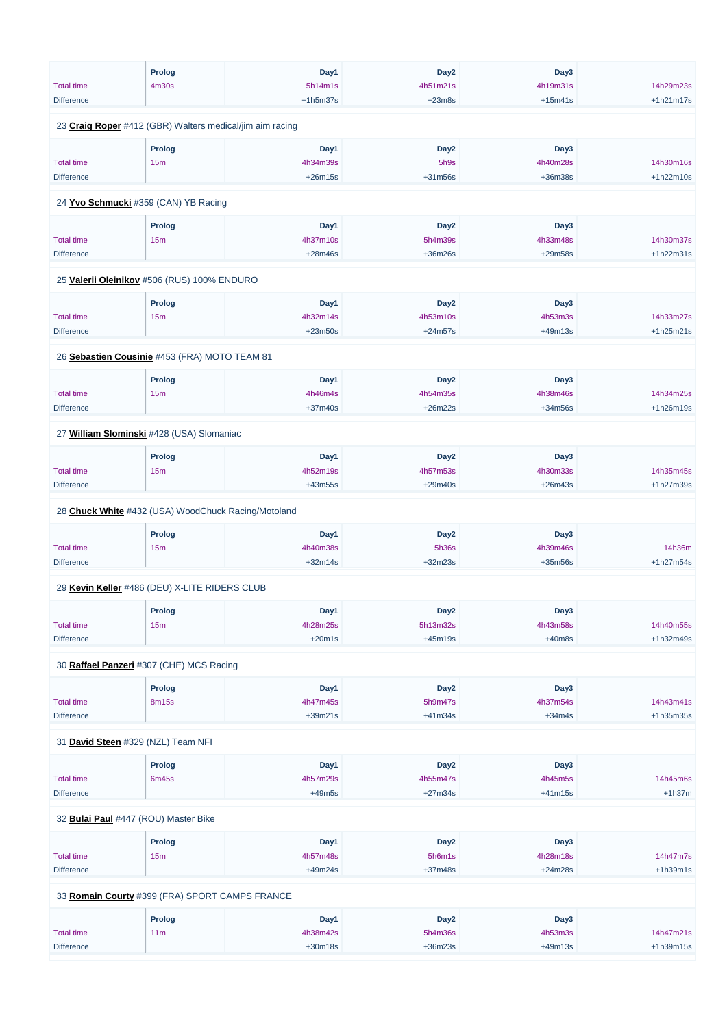|                                                          | <b>Prolog</b>   | Day1       | Day <sub>2</sub> | Day3      |             |
|----------------------------------------------------------|-----------------|------------|------------------|-----------|-------------|
| <b>Total time</b>                                        | 4m30s           | 5h14m1s    | 4h51m21s         | 4h19m31s  | 14h29m23s   |
| <b>Difference</b>                                        |                 | $+1h5m37s$ | $+23m8s$         | $+15m41s$ | $+1h21m17s$ |
|                                                          |                 |            |                  |           |             |
| 23 Craig Roper #412 (GBR) Walters medical/jim aim racing |                 |            |                  |           |             |
|                                                          | <b>Prolog</b>   | Day1       | Day <sub>2</sub> | Day3      |             |
| <b>Total time</b>                                        | 15 <sub>m</sub> | 4h34m39s   | 5h9s             | 4h40m28s  | 14h30m16s   |
| <b>Difference</b>                                        |                 | $+26m15s$  | $+31m56s$        | +36m38s   | $+1h22m10s$ |
|                                                          |                 |            |                  |           |             |
| 24 Yvo Schmucki #359 (CAN) YB Racing                     |                 |            |                  |           |             |
|                                                          | Prolog          | Day1       | Day <sub>2</sub> | Day3      |             |
| <b>Total time</b>                                        | 15m             | 4h37m10s   | 5h4m39s          | 4h33m48s  | 14h30m37s   |
| <b>Difference</b>                                        |                 | $+28m46s$  | +36m26s          | +29m58s   | +1h22m31s   |
|                                                          |                 |            |                  |           |             |
| 25 Valerii Oleinikov #506 (RUS) 100% ENDURO              |                 |            |                  |           |             |
|                                                          | Prolog          | Day1       | Day <sub>2</sub> | Day3      |             |
| <b>Total time</b>                                        | 15 <sub>m</sub> | 4h32m14s   | 4h53m10s         | 4h53m3s   | 14h33m27s   |
| <b>Difference</b>                                        |                 | $+23m50s$  | $+24m57s$        | $+49m13s$ | $+1h25m21s$ |
|                                                          |                 |            |                  |           |             |
| 26 Sebastien Cousinie #453 (FRA) MOTO TEAM 81            |                 |            |                  |           |             |
|                                                          | <b>Prolog</b>   | Day1       | Day <sub>2</sub> | Day3      |             |
| <b>Total time</b>                                        | 15m             | 4h46m4s    | 4h54m35s         | 4h38m46s  | 14h34m25s   |
| <b>Difference</b>                                        |                 | $+37m40s$  | $+26m22s$        | +34m56s   | +1h26m19s   |
|                                                          |                 |            |                  |           |             |
| 27 William Slominski #428 (USA) Slomaniac                |                 |            |                  |           |             |
|                                                          | Prolog          | Day1       | Day <sub>2</sub> | Day3      |             |
| <b>Total time</b>                                        | 15m             | 4h52m19s   | 4h57m53s         | 4h30m33s  | 14h35m45s   |
| <b>Difference</b>                                        |                 | $+43m55s$  | $+29m40s$        | $+26m43s$ | +1h27m39s   |
|                                                          |                 |            |                  |           |             |
| 28 Chuck White #432 (USA) WoodChuck Racing/Motoland      |                 |            |                  |           |             |
|                                                          | <b>Prolog</b>   | Day1       | Day <sub>2</sub> | Day3      |             |
| <b>Total time</b>                                        | 15m             | 4h40m38s   | 5h36s            | 4h39m46s  | 14h36m      |
| <b>Difference</b>                                        |                 | $+32m14s$  | $+32m23s$        | $+35m56s$ | $+1h27m54s$ |
| 29 Kevin Keller #486 (DEU) X-LITE RIDERS CLUB            |                 |            |                  |           |             |
|                                                          |                 |            |                  |           |             |
|                                                          | <b>Prolog</b>   | Day1       | Day <sub>2</sub> | Day3      |             |
| <b>Total time</b>                                        | 15 <sub>m</sub> | 4h28m25s   | 5h13m32s         | 4h43m58s  | 14h40m55s   |
| <b>Difference</b>                                        |                 | $+20m1s$   | $+45m19s$        | $+40m8s$  | +1h32m49s   |
| 30 Raffael Panzeri #307 (CHE) MCS Racing                 |                 |            |                  |           |             |
|                                                          |                 |            |                  |           |             |
|                                                          | <b>Prolog</b>   | Day1       | Day <sub>2</sub> | Day3      | 14h43m41s   |
| <b>Total time</b>                                        | 8m15s           | 4h47m45s   | 5h9m47s          | 4h37m54s  |             |
| <b>Difference</b>                                        |                 | $+39m21s$  | $+41m34s$        | $+34m4s$  | +1h35m35s   |
| 31 David Steen #329 (NZL) Team NFI                       |                 |            |                  |           |             |

| <b>Prolog</b> | Dav1 | Day <sub>2</sub> | Day3 |  |
|---------------|------|------------------|------|--|
|               |      |                  |      |  |

| <b>Total time</b>                              | 6m45s           | 4h57m29s  | 4h55m47s         | 4h45m5s   | 14h45m6s    |
|------------------------------------------------|-----------------|-----------|------------------|-----------|-------------|
| <b>Difference</b>                              |                 | $+49m5s$  | $+27m34s$        | $+41m15s$ | $+1h37m$    |
|                                                |                 |           |                  |           |             |
| 32 Bulai Paul #447 (ROU) Master Bike           |                 |           |                  |           |             |
|                                                | <b>Prolog</b>   | Day1      | Day <sub>2</sub> | Day3      |             |
|                                                |                 |           |                  |           | 14h47m7s    |
| <b>Total time</b>                              | 15m             | 4h57m48s  | 5h6m1s           | 4h28m18s  |             |
| <b>Difference</b>                              |                 | $+49m24s$ | $+37m48s$        | $+24m28s$ | $+1h39m1s$  |
|                                                |                 |           |                  |           |             |
| 33 Romain Courty #399 (FRA) SPORT CAMPS FRANCE |                 |           |                  |           |             |
|                                                | <b>Prolog</b>   | Day1      | Day <sub>2</sub> | Day3      |             |
|                                                |                 |           |                  |           |             |
| <b>Total time</b>                              | 11 <sub>m</sub> | 4h38m42s  | 5h4m36s          | 4h53m3s   | 14h47m21s   |
| <b>Difference</b>                              |                 | $+30m18s$ | $+36m23s$        | $+49m13s$ | $+1h39m15s$ |
|                                                |                 |           |                  |           |             |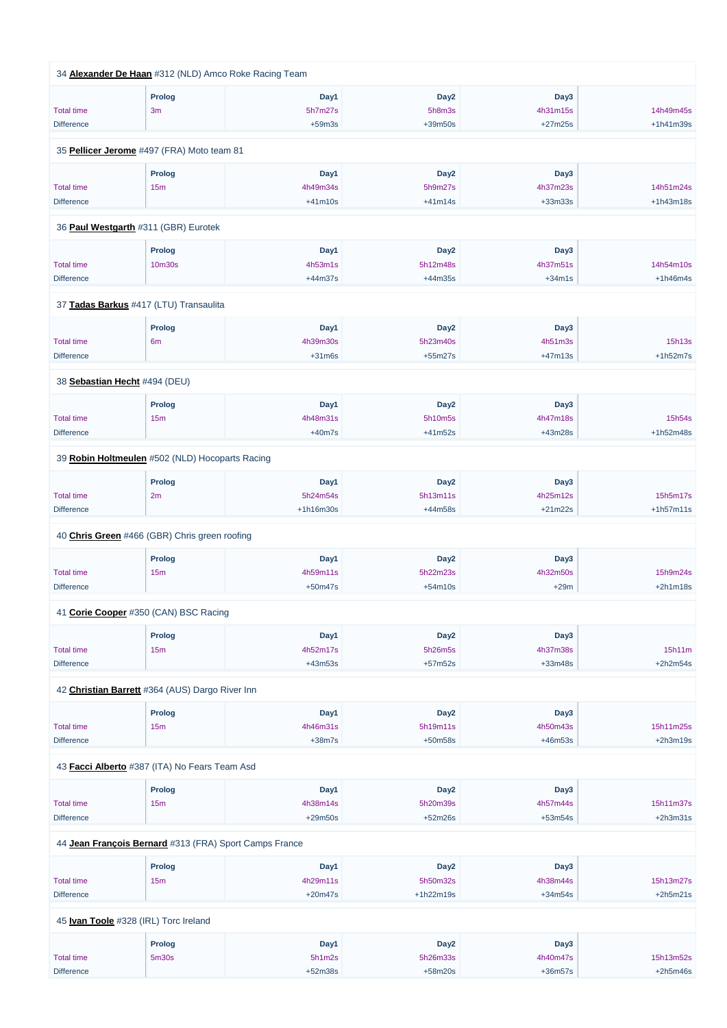|                   | 34 Alexander De Haan #312 (NLD) Amco Roke Racing Team |           |                  |           |             |
|-------------------|-------------------------------------------------------|-----------|------------------|-----------|-------------|
|                   | <b>Prolog</b>                                         | Day1      | Day <sub>2</sub> | Day3      |             |
| <b>Total time</b> | 3m                                                    | 5h7m27s   | 5h8m3s           | 4h31m15s  | 14h49m45s   |
| <b>Difference</b> |                                                       | $+59m3s$  | +39m50s          | $+27m25s$ | $+1h41m39s$ |
|                   | 35 Pellicer Jerome #497 (FRA) Moto team 81            |           |                  |           |             |
|                   | <b>Prolog</b>                                         | Day1      | Day <sub>2</sub> | Day3      |             |
| <b>Total time</b> | 15m                                                   | 4h49m34s  | 5h9m27s          | 4h37m23s  | 14h51m24s   |
| <b>Difference</b> |                                                       | $+41m10s$ | $+41m14s$        | $+33m33s$ | $+1h43m18s$ |
|                   | 36 Paul Westgarth #311 (GBR) Eurotek                  |           |                  |           |             |
|                   | <b>Prolog</b>                                         | Day1      | Day <sub>2</sub> | Day3      |             |
| <b>Total time</b> | 10m30s                                                | 4h53m1s   | 5h12m48s         | 4h37m51s  | 14h54m10s   |
| <b>Difference</b> |                                                       | $+44m37s$ | $+44m35s$        | $+34m1s$  | $+1h46m4s$  |
|                   | 37 Tadas Barkus #417 (LTU) Transaulita                |           |                  |           |             |
|                   | Prolog                                                | Day1      | Day <sub>2</sub> | Day3      |             |
| <b>Total time</b> | 6 <sub>m</sub>                                        | 4h39m30s  | 5h23m40s         | 4h51m3s   | 15h13s      |
| <b>Difference</b> |                                                       | $+31m6s$  | $+55m27s$        | $+47m13s$ | $+1h52m7s$  |
|                   | 38 Sebastian Hecht #494 (DEU)                         |           |                  |           |             |
|                   | <b>Prolog</b>                                         | Day1      | Day <sub>2</sub> | Day3      |             |
| <b>Total time</b> | 15m                                                   | 4h48m31s  | 5h10m5s          | 4h47m18s  | 15h54s      |
| <b>Difference</b> |                                                       | $+40m7s$  | $+41m52s$        | +43m28s   | +1h52m48s   |
|                   | 39 Robin Holtmeulen #502 (NLD) Hocoparts Racing       |           |                  |           |             |
|                   | Prolog                                                | Day1      | Day <sub>2</sub> | Day3      |             |
| <b>Total time</b> | 2m                                                    | 5h24m54s  | 5h13m11s         | 4h25m12s  | 15h5m17s    |
| <b>Difference</b> |                                                       | +1h16m30s | +44m58s          | $+21m22s$ | $+1h57m11s$ |
|                   | 40 Chris Green #466 (GBR) Chris green roofing         |           |                  |           |             |
|                   | <b>Prolog</b>                                         | Day1      | Day <sub>2</sub> | Day3      |             |
| <b>Total time</b> | 15m                                                   | 4h59m11s  | 5h22m23s         | 4h32m50s  | 15h9m24s    |
| <b>Difference</b> |                                                       | $+50m47s$ | $+54m10s$        | $+29m$    | $+2h1m18s$  |
|                   | 41 Corie Cooper #350 (CAN) BSC Racing                 |           |                  |           |             |
|                   | <b>Prolog</b>                                         | Day1      | Day <sub>2</sub> | Day3      |             |
| <b>Total time</b> | 15m                                                   | 4h52m17s  | 5h26m5s          | 4h37m38s  | 15h11m      |
| <b>Difference</b> |                                                       | $+43m53s$ | +57m52s          | $+33m48s$ | $+2h2m54s$  |
|                   | 42 Christian Barrett #364 (AUS) Dargo River Inn       |           |                  |           |             |
|                   | <b>Prolog</b>                                         | Day1      | Day <sub>2</sub> | Day3      |             |
| <b>Total time</b> | 15m                                                   | 4h46m31s  | 5h19m11s         | 4h50m43s  | 15h11m25s   |
| <b>Difference</b> |                                                       | $+38m7s$  | +50m58s          | +46m53s   | $+2h3m19s$  |
|                   |                                                       |           |                  |           |             |

43 **[Facci Alberto](https://www.redbullromaniacs.com/for-competitors/profile/?e=rbr2019&b=387)** #387 (ITA) No Fears Team Asd

|                                                        | <b>Prolog</b>     | Day1      | Day <sub>2</sub> | Day3      |            |
|--------------------------------------------------------|-------------------|-----------|------------------|-----------|------------|
| <b>Total time</b>                                      | 15m               | 4h38m14s  | 5h20m39s         | 4h57m44s  | 15h11m37s  |
| <b>Difference</b>                                      |                   | $+29m50s$ | $+52m26s$        | $+53m54s$ | $+2h3m31s$ |
| 44 Jean François Bernard #313 (FRA) Sport Camps France |                   |           |                  |           |            |
|                                                        | <b>Prolog</b>     | Day1      | Day <sub>2</sub> | Day3      |            |
| <b>Total time</b>                                      | 15m               | 4h29m11s  | 5h50m32s         | 4h38m44s  | 15h13m27s  |
| <b>Difference</b>                                      |                   | $+20m47s$ | $+1h22m19s$      | $+34m54s$ | $+2h5m21s$ |
| 45 Ivan Toole #328 (IRL) Torc Ireland                  |                   |           |                  |           |            |
|                                                        | <b>Prolog</b>     | Day1      | Day <sub>2</sub> | Day3      |            |
| <b>Total time</b>                                      | 5 <sub>m30s</sub> | 5h1m2s    | 5h26m33s         | 4h40m47s  | 15h13m52s  |
| <b>Difference</b>                                      |                   | $+52m38s$ | $+58m20s$        | $+36m57s$ | $+2h5m46s$ |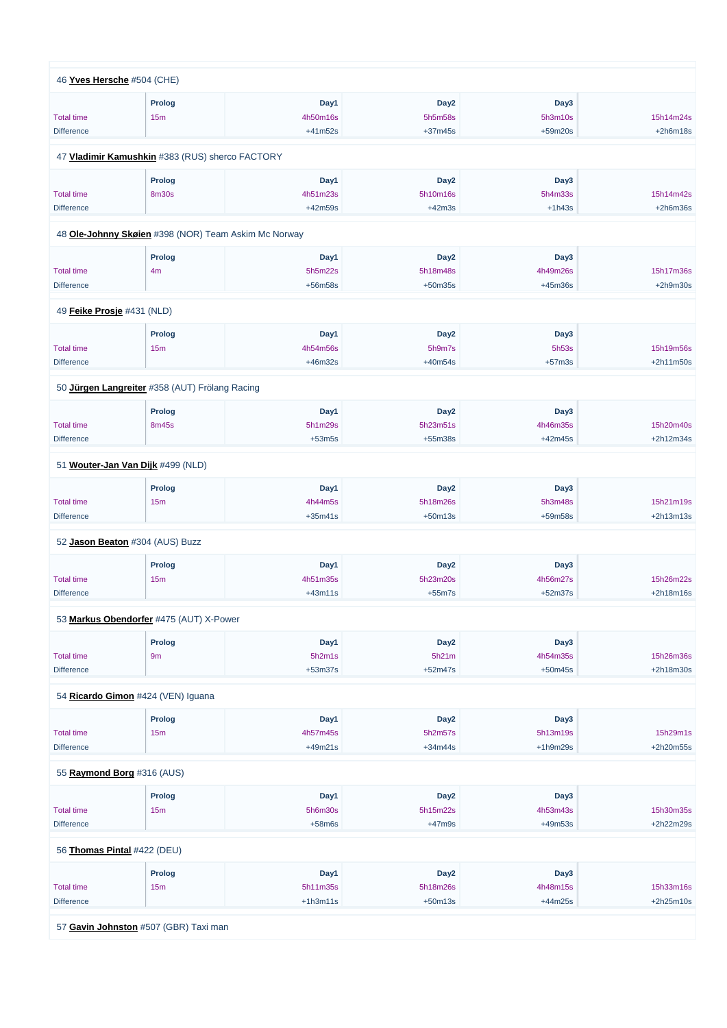| 46 Yves Hersche #504 (CHE) |                                                      |           |                  |            |             |
|----------------------------|------------------------------------------------------|-----------|------------------|------------|-------------|
|                            |                                                      | Day1      | Day <sub>2</sub> | Day3       |             |
|                            | <b>Prolog</b>                                        |           | 5h5m58s          |            | 15h14m24s   |
| <b>Total time</b>          | 15 <sub>m</sub>                                      | 4h50m16s  |                  | 5h3m10s    |             |
| <b>Difference</b>          |                                                      | $+41m52s$ | $+37m45s$        | $+59m20s$  | $+2h6m18s$  |
|                            | 47 Vladimir Kamushkin #383 (RUS) sherco FACTORY      |           |                  |            |             |
|                            | <b>Prolog</b>                                        | Day1      | Day <sub>2</sub> | Day3       |             |
| <b>Total time</b>          | <b>8m30s</b>                                         | 4h51m23s  | 5h10m16s         | 5h4m33s    | 15h14m42s   |
| <b>Difference</b>          |                                                      | $+42m59s$ | $+42m3s$         | $+1h43s$   | $+2h6m36s$  |
|                            |                                                      |           |                  |            |             |
|                            | 48 Ole-Johnny Skøien #398 (NOR) Team Askim Mc Norway |           |                  |            |             |
|                            | <b>Prolog</b>                                        | Day1      | Day <sub>2</sub> | Day3       |             |
| <b>Total time</b>          | 4m                                                   | 5h5m22s   | 5h18m48s         | 4h49m26s   | 15h17m36s   |
| <b>Difference</b>          |                                                      | +56m58s   | $+50m35s$        | $+45m36s$  | $+2h9m30s$  |
|                            |                                                      |           |                  |            |             |
| 49 Feike Prosje #431 (NLD) |                                                      |           |                  |            |             |
|                            | <b>Prolog</b>                                        | Day1      | Day <sub>2</sub> | Day3       |             |
| <b>Total time</b>          | 15m                                                  | 4h54m56s  | 5h9m7s           | 5h53s      | 15h19m56s   |
| <b>Difference</b>          |                                                      | $+46m32s$ | $+40m54s$        | $+57m3s$   | $+2h11m50s$ |
|                            | 50 Jürgen Langreiter #358 (AUT) Frölang Racing       |           |                  |            |             |
|                            | <b>Prolog</b>                                        | Day1      | Day <sub>2</sub> | Day3       |             |
| <b>Total time</b>          | 8m45s                                                | 5h1m29s   | 5h23m51s         | 4h46m35s   | 15h20m40s   |
| <b>Difference</b>          |                                                      | $+53m5s$  | $+55m38s$        | $+42m45s$  | +2h12m34s   |
|                            |                                                      |           |                  |            |             |
|                            | 51 Wouter-Jan Van Dijk #499 (NLD)                    |           |                  |            |             |
|                            | <b>Prolog</b>                                        | Day1      | Day <sub>2</sub> | Day3       |             |
| <b>Total time</b>          | 15m                                                  | 4h44m5s   | 5h18m26s         | 5h3m48s    | 15h21m19s   |
| <b>Difference</b>          |                                                      | $+35m41s$ | $+50m13s$        | +59m58s    | $+2h13m13s$ |
|                            |                                                      |           |                  |            |             |
|                            | 52 Jason Beaton #304 (AUS) Buzz                      |           |                  |            |             |
|                            | <b>Prolog</b>                                        | Day1      | Day <sub>2</sub> | Day3       |             |
| <b>Total time</b>          | 15m                                                  | 4h51m35s  | 5h23m20s         | 4h56m27s   | 15h26m22s   |
| <b>Difference</b>          |                                                      | $+43m11s$ | $+55m7s$         | $+52m37s$  | $+2h18m16s$ |
|                            | 53 Markus Obendorfer #475 (AUT) X-Power              |           |                  |            |             |
|                            |                                                      |           |                  |            |             |
|                            | <b>Prolog</b>                                        | Day1      | Day <sub>2</sub> | Day3       |             |
| <b>Total time</b>          | 9m                                                   | 5h2m1s    | 5h21m            | 4h54m35s   | 15h26m36s   |
| <b>Difference</b>          |                                                      | $+53m37s$ | $+52m47s$        | $+50m45s$  | +2h18m30s   |
|                            | 54 Ricardo Gimon #424 (VEN) Iguana                   |           |                  |            |             |
|                            | <b>Prolog</b>                                        | Day1      | Day <sub>2</sub> | Day3       |             |
| <b>Total time</b>          | 15 <sub>m</sub>                                      | 4h57m45s  | 5h2m57s          | 5h13m19s   | 15h29m1s    |
| <b>Difference</b>          |                                                      | $+49m21s$ | $+34m44s$        | $+1h9m29s$ | +2h20m55s   |
|                            |                                                      |           |                  |            |             |

55 **[Raymond Borg](https://www.redbullromaniacs.com/for-competitors/profile/?e=rbr2019&b=316)** #316 (AUS)

|                             | Prolog                                | Day1       | Day <sub>2</sub> | Day3      |             |
|-----------------------------|---------------------------------------|------------|------------------|-----------|-------------|
| <b>Total time</b>           | 15m                                   | 5h6m30s    | 5h15m22s         | 4h53m43s  | 15h30m35s   |
| <b>Difference</b>           |                                       | $+58m6s$   | $+47m9s$         | $+49m53s$ | +2h22m29s   |
|                             |                                       |            |                  |           |             |
| 56 Thomas Pintal #422 (DEU) |                                       |            |                  |           |             |
|                             | Prolog                                | Day1       | Day <sub>2</sub> | Day3      |             |
| <b>Total time</b>           | 15m                                   | 5h11m35s   | 5h18m26s         | 4h48m15s  | 15h33m16s   |
| <b>Difference</b>           |                                       | $+1h3m11s$ | $+50m13s$        | $+44m25s$ | $+2h25m10s$ |
|                             |                                       |            |                  |           |             |
|                             | 57 Gavin Johnston #507 (GBR) Taxi man |            |                  |           |             |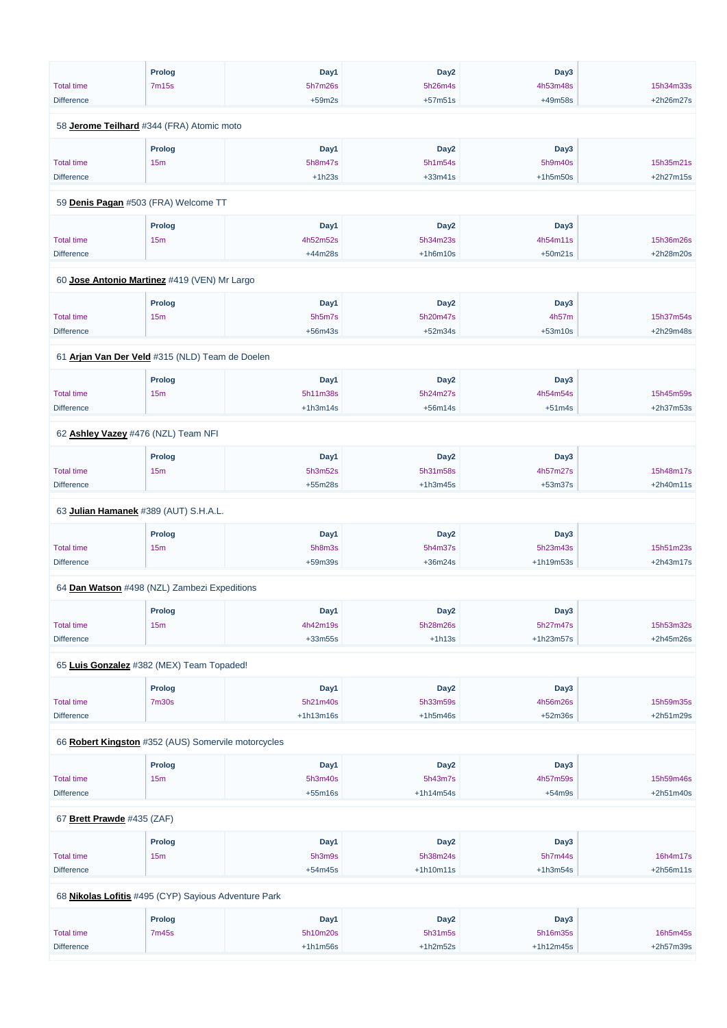|                                                     | <b>Prolog</b>        | Day1        | Day <sub>2</sub> | Day3        |             |
|-----------------------------------------------------|----------------------|-------------|------------------|-------------|-------------|
| <b>Total time</b>                                   | 7m15s                | 5h7m26s     | 5h26m4s          | 4h53m48s    | 15h34m33s   |
| <b>Difference</b>                                   |                      | $+59m2s$    | $+57m51s$        | +49m58s     | +2h26m27s   |
|                                                     |                      |             |                  |             |             |
| 58 Jerome Teilhard #344 (FRA) Atomic moto           |                      |             |                  |             |             |
|                                                     | <b>Prolog</b>        | Day1        | Day <sub>2</sub> | Day3        |             |
| <b>Total time</b>                                   | 15 <sub>m</sub>      | 5h8m47s     | 5h1m54s          | 5h9m40s     | 15h35m21s   |
| <b>Difference</b>                                   |                      | $+1h23s$    | $+33m41s$        | $+1h5m50s$  | $+2h27m15s$ |
|                                                     |                      |             |                  |             |             |
| 59 Denis Pagan #503 (FRA) Welcome TT                |                      |             |                  |             |             |
|                                                     | <b>Prolog</b>        | Day1        | Day <sub>2</sub> | Day3        |             |
| <b>Total time</b>                                   | 15m                  | 4h52m52s    | 5h34m23s         | 4h54m11s    | 15h36m26s   |
| <b>Difference</b>                                   |                      | $+44m28s$   | $+1h6m10s$       | $+50m21s$   | +2h28m20s   |
|                                                     |                      |             |                  |             |             |
| 60 Jose Antonio Martinez #419 (VEN) Mr Largo        |                      |             |                  |             |             |
|                                                     | <b>Prolog</b>        | Day1        | Day <sub>2</sub> | Day3        |             |
| <b>Total time</b>                                   | 15 <sub>m</sub>      | 5h5m7s      | 5h20m47s         | 4h57m       | 15h37m54s   |
| <b>Difference</b>                                   |                      | $+56m43s$   | $+52m34s$        | $+53m10s$   | +2h29m48s   |
|                                                     |                      |             |                  |             |             |
| 61 Arjan Van Der Veld #315 (NLD) Team de Doelen     |                      |             |                  |             |             |
|                                                     | <b>Prolog</b>        | Day1        | Day <sub>2</sub> | Day3        |             |
| <b>Total time</b>                                   | 15 <sub>m</sub>      | 5h11m38s    | 5h24m27s         | 4h54m54s    | 15h45m59s   |
| <b>Difference</b>                                   |                      | $+1h3m14s$  | $+56m14s$        | $+51m4s$    | +2h37m53s   |
| 62 Ashley Vazey #476 (NZL) Team NFI                 |                      |             |                  |             |             |
|                                                     |                      |             |                  |             |             |
|                                                     | <b>Prolog</b>        | Day1        | Day <sub>2</sub> | Day3        |             |
| <b>Total time</b>                                   | 15m                  | 5h3m52s     | 5h31m58s         | 4h57m27s    | 15h48m17s   |
| <b>Difference</b>                                   |                      | $+55m28s$   | $+1h3m45s$       | $+53m37s$   | $+2h40m11s$ |
| 63 Julian Hamanek #389 (AUT) S.H.A.L.               |                      |             |                  |             |             |
|                                                     |                      | Day1        | Day <sub>2</sub> | Day3        |             |
| <b>Total time</b>                                   | <b>Prolog</b><br>15m | 5h8m3s      | 5h4m37s          | 5h23m43s    | 15h51m23s   |
| <b>Difference</b>                                   |                      | $+59m39s$   | $+36m24s$        | +1h19m53s   | +2h43m17s   |
|                                                     |                      |             |                  |             |             |
| 64 Dan Watson #498 (NZL) Zambezi Expeditions        |                      |             |                  |             |             |
|                                                     | <b>Prolog</b>        | Day1        | Day <sub>2</sub> | Day3        |             |
| <b>Total time</b>                                   | 15 <sub>m</sub>      | 4h42m19s    | 5h28m26s         | 5h27m47s    | 15h53m32s   |
| <b>Difference</b>                                   |                      | $+33m55s$   | $+1h13s$         | $+1h23m57s$ | +2h45m26s   |
|                                                     |                      |             |                  |             |             |
| 65 Luis Gonzalez #382 (MEX) Team Topaded!           |                      |             |                  |             |             |
|                                                     | <b>Prolog</b>        | Day1        | Day <sub>2</sub> | Day3        |             |
| <b>Total time</b>                                   | <b>7m30s</b>         | 5h21m40s    | 5h33m59s         | 4h56m26s    | 15h59m35s   |
| <b>Difference</b>                                   |                      | $+1h13m16s$ | $+1h5m46s$       | $+52m36s$   | +2h51m29s   |
| 66 Robert Kingston #352 (AUS) Somervile motorcycles |                      |             |                  |             |             |
|                                                     |                      |             |                  |             |             |
|                                                     | <b>Prolog</b>        | Day1        | Day <sub>2</sub> | Day3        |             |

| <b>Total time</b>          | 15m                                                  | 5h3m40s    | 5h43m7s          | 4h57m59s    | 15h59m46s   |
|----------------------------|------------------------------------------------------|------------|------------------|-------------|-------------|
| <b>Difference</b>          |                                                      | $+55m16s$  | $+1h14m54s$      | $+54m9s$    | $+2h51m40s$ |
|                            |                                                      |            |                  |             |             |
| 67 Brett Prawde #435 (ZAF) |                                                      |            |                  |             |             |
|                            | Prolog                                               | Day1       | Day <sub>2</sub> | Day3        |             |
| <b>Total time</b>          | 15m                                                  | 5h3m9s     | 5h38m24s         | 5h7m44s     | 16h4m17s    |
| <b>Difference</b>          |                                                      | $+54m45s$  | $+1h10m11s$      | $+1h3m54s$  | $+2h56m11s$ |
|                            |                                                      |            |                  |             |             |
|                            | 68 Nikolas Lofitis #495 (CYP) Sayious Adventure Park |            |                  |             |             |
|                            | <b>Prolog</b>                                        | Day1       | Day <sub>2</sub> | Day3        |             |
| <b>Total time</b>          | 7m45s                                                | 5h10m20s   | 5h31m5s          | 5h16m35s    | 16h5m45s    |
| <b>Difference</b>          |                                                      | $+1h1m56s$ | $+1h2m52s$       | $+1h12m45s$ | $+2h57m39s$ |
|                            |                                                      |            |                  |             |             |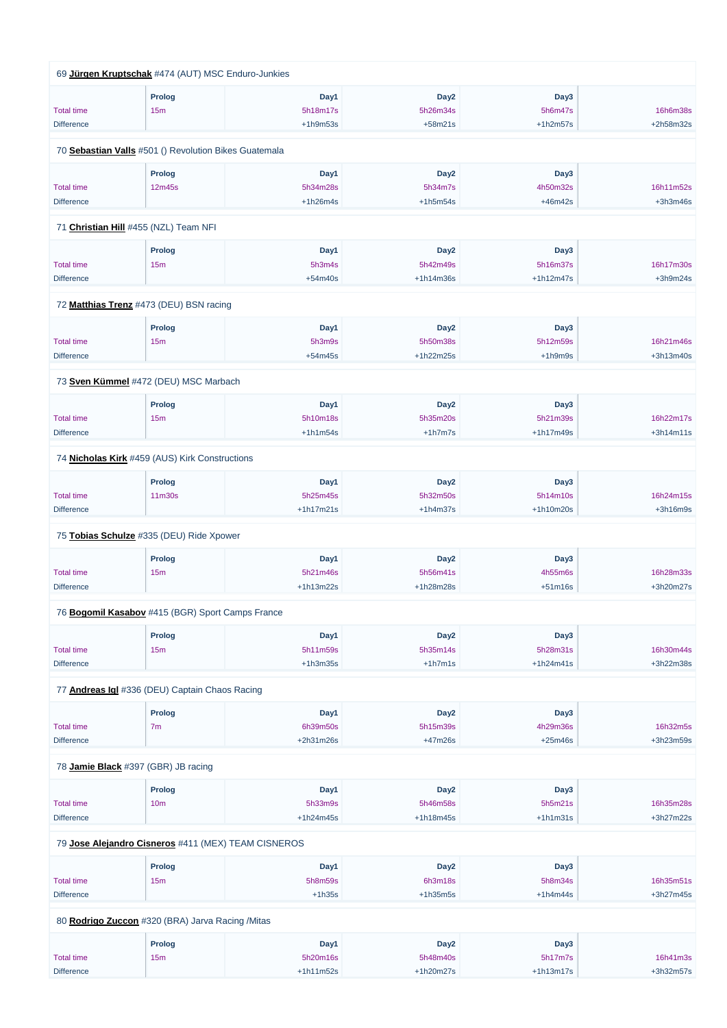|                   | 69 Jürgen Kruptschak #474 (AUT) MSC Enduro-Junkies    |             |                  |             |             |
|-------------------|-------------------------------------------------------|-------------|------------------|-------------|-------------|
|                   | <b>Prolog</b>                                         | Day1        | Day <sub>2</sub> | Day3        |             |
| <b>Total time</b> | 15m                                                   | 5h18m17s    | 5h26m34s         | 5h6m47s     | 16h6m38s    |
| <b>Difference</b> |                                                       | $+1h9m53s$  | $+58m21s$        | $+1h2m57s$  | +2h58m32s   |
|                   | 70 Sebastian Valls #501 () Revolution Bikes Guatemala |             |                  |             |             |
|                   | <b>Prolog</b>                                         | Day1        | Day <sub>2</sub> | Day3        |             |
| <b>Total time</b> | 12m45s                                                | 5h34m28s    | 5h34m7s          | 4h50m32s    | 16h11m52s   |
| <b>Difference</b> |                                                       | $+1h26m4s$  | $+1h5m54s$       | $+46m42s$   | $+3h3m46s$  |
|                   | 71 Christian Hill #455 (NZL) Team NFI                 |             |                  |             |             |
|                   | <b>Prolog</b>                                         | Day1        | Day <sub>2</sub> | Day3        |             |
| <b>Total time</b> | 15m                                                   | 5h3m4s      | 5h42m49s         | 5h16m37s    | 16h17m30s   |
| <b>Difference</b> |                                                       | $+54m40s$   | $+1h14m36s$      | $+1h12m47s$ | $+3h9m24s$  |
|                   | 72 Matthias Trenz #473 (DEU) BSN racing               |             |                  |             |             |
|                   | <b>Prolog</b>                                         | Day1        | Day <sub>2</sub> | Day3        |             |
| <b>Total time</b> | 15m                                                   | 5h3m9s      | 5h50m38s         | 5h12m59s    | 16h21m46s   |
| <b>Difference</b> |                                                       | $+54m45s$   | +1h22m25s        | $+1h9m9s$   | +3h13m40s   |
|                   | 73 Sven Kümmel #472 (DEU) MSC Marbach                 |             |                  |             |             |
|                   | <b>Prolog</b>                                         | Day1        | Day <sub>2</sub> | Day3        |             |
| <b>Total time</b> | 15m                                                   | 5h10m18s    | 5h35m20s         | 5h21m39s    | 16h22m17s   |
| <b>Difference</b> |                                                       | $+1h1m54s$  | $+1h7m7s$        | $+1h17m49s$ | $+3h14m11s$ |
|                   | 74 Nicholas Kirk #459 (AUS) Kirk Constructions        |             |                  |             |             |
|                   | <b>Prolog</b>                                         | Day1        | Day <sub>2</sub> | Day3        |             |
| <b>Total time</b> | 11m30s                                                | 5h25m45s    | 5h32m50s         | 5h14m10s    | 16h24m15s   |
| <b>Difference</b> |                                                       | $+1h17m21s$ | $+1h4m37s$       | $+1h10m20s$ | +3h16m9s    |
|                   | 75 Tobias Schulze #335 (DEU) Ride Xpower              |             |                  |             |             |
|                   | <b>Prolog</b>                                         | Day1        | Day <sub>2</sub> | Day3        |             |
| <b>Total time</b> | 15 <sub>m</sub>                                       | 5h21m46s    | 5h56m41s         | 4h55m6s     | 16h28m33s   |
| <b>Difference</b> |                                                       | +1h13m22s   | +1h28m28s        | $+51m16s$   | +3h20m27s   |
|                   | 76 Bogomil Kasabov #415 (BGR) Sport Camps France      |             |                  |             |             |
|                   | Prolog                                                | Day1        | Day <sub>2</sub> | Day3        |             |
| <b>Total time</b> | 15 <sub>m</sub>                                       | 5h11m59s    | 5h35m14s         | 5h28m31s    | 16h30m44s   |
| <b>Difference</b> |                                                       | $+1h3m35s$  | $+1h7m1s$        | $+1h24m41s$ | +3h22m38s   |
|                   | 77 Andreas Igl #336 (DEU) Captain Chaos Racing        |             |                  |             |             |
|                   | <b>Prolog</b>                                         | Day1        | Day <sub>2</sub> | Day3        |             |
| <b>Total time</b> | 7m                                                    | 6h39m50s    | 5h15m39s         | 4h29m36s    | 16h32m5s    |
| <b>Difference</b> |                                                       | +2h31m26s   | $+47m26s$        | $+25m46s$   | +3h23m59s   |
|                   |                                                       |             |                  |             |             |

78 **[Jamie Black](https://www.redbullromaniacs.com/for-competitors/profile/?e=rbr2019&b=397)** #397 (GBR) JB racing

|                                                     | <b>Prolog</b>   | Day1        | Day <sub>2</sub> | Day3        |             |  |  |  |
|-----------------------------------------------------|-----------------|-------------|------------------|-------------|-------------|--|--|--|
| <b>Total time</b>                                   | 10 <sub>m</sub> | 5h33m9s     | 5h46m58s         | 5h5m21s     | 16h35m28s   |  |  |  |
| <b>Difference</b>                                   |                 | $+1h24m45s$ | $+1h18m45s$      | $+1h1m31s$  | $+3h27m22s$ |  |  |  |
| 79 Jose Alejandro Cisneros #411 (MEX) TEAM CISNEROS |                 |             |                  |             |             |  |  |  |
|                                                     | Prolog          | Day1        | Day <sub>2</sub> | Day3        |             |  |  |  |
| <b>Total time</b>                                   | 15 <sub>m</sub> | 5h8m59s     | 6h3m18s          | 5h8m34s     | 16h35m51s   |  |  |  |
| <b>Difference</b>                                   |                 | $+1h35s$    | $+1h35m5s$       | $+1h4m44s$  | $+3h27m45s$ |  |  |  |
| 80 Rodrigo Zuccon #320 (BRA) Jarva Racing /Mitas    |                 |             |                  |             |             |  |  |  |
|                                                     | <b>Prolog</b>   | Day1        | Day <sub>2</sub> | Day3        |             |  |  |  |
| <b>Total time</b>                                   | 15m             | 5h20m16s    | 5h48m40s         | 5h17m7s     | 16h41m3s    |  |  |  |
| <b>Difference</b>                                   |                 | $+1h11m52s$ | $+1h20m27s$      | $+1h13m17s$ | $+3h32m57s$ |  |  |  |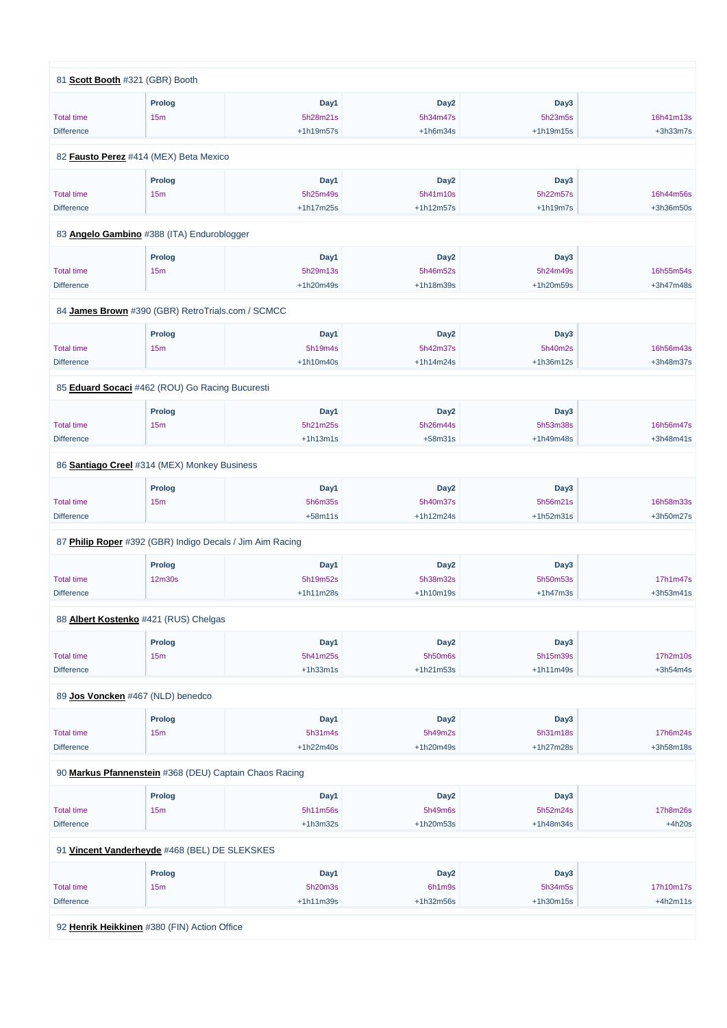| 81 Scott Booth #321 (GBR) Booth                           |                 |             |                  |             |            |
|-----------------------------------------------------------|-----------------|-------------|------------------|-------------|------------|
|                                                           | <b>Prolog</b>   | Day1        | Day <sub>2</sub> | Day3        |            |
| <b>Total time</b>                                         | 15m             | 5h28m21s    | 5h34m47s         | 5h23m5s     | 16h41m13s  |
| <b>Difference</b>                                         |                 | +1h19m57s   | $+1h6m34s$       | $+1h19m15s$ | $+3h33m7s$ |
|                                                           |                 |             |                  |             |            |
| 82 Fausto Perez #414 (MEX) Beta Mexico                    |                 |             |                  |             |            |
|                                                           | <b>Prolog</b>   | Day1        | Day <sub>2</sub> | Day3        |            |
| <b>Total time</b>                                         | 15 <sub>m</sub> | 5h25m49s    | 5h41m10s         | 5h22m57s    | 16h44m56s  |
| <b>Difference</b>                                         |                 | $+1h17m25s$ | $+1h12m57s$      | $+1h19m7s$  | +3h36m50s  |
|                                                           |                 |             |                  |             |            |
| 83 Angelo Gambino #388 (ITA) Enduroblogger                |                 |             |                  |             |            |
|                                                           | <b>Prolog</b>   | Day1        | Day <sub>2</sub> | Day3        |            |
| <b>Total time</b>                                         | 15 <sub>m</sub> | 5h29m13s    | 5h46m52s         | 5h24m49s    | 16h55m54s  |
| <b>Difference</b>                                         |                 | +1h20m49s   | +1h18m39s        | +1h20m59s   | +3h47m48s  |
| 84 James Brown #390 (GBR) RetroTrials.com / SCMCC         |                 |             |                  |             |            |
|                                                           |                 |             |                  |             |            |
|                                                           | <b>Prolog</b>   | Day1        | Day <sub>2</sub> | Day3        |            |
| <b>Total time</b>                                         | 15 <sub>m</sub> | 5h19m4s     | 5h42m37s         | 5h40m2s     | 16h56m43s  |
| <b>Difference</b>                                         |                 | $+1h10m40s$ | $+1h14m24s$      | +1h36m12s   | +3h48m37s  |
| 85 Eduard Socaci #462 (ROU) Go Racing Bucuresti           |                 |             |                  |             |            |
|                                                           | Prolog          | Day1        | Day <sub>2</sub> | Day3        |            |
| <b>Total time</b>                                         | 15 <sub>m</sub> | 5h21m25s    | 5h26m44s         | 5h53m38s    | 16h56m47s  |
| <b>Difference</b>                                         |                 | $+1h13m1s$  | $+58m31s$        | +1h49m48s   | +3h48m41s  |
|                                                           |                 |             |                  |             |            |
| 86 Santiago Creel #314 (MEX) Monkey Business              |                 |             |                  |             |            |
|                                                           | <b>Prolog</b>   | Day1        | Day <sub>2</sub> | Day3        |            |
| <b>Total time</b>                                         | 15m             | 5h6m35s     | 5h40m37s         | 5h56m21s    | 16h58m33s  |
| <b>Difference</b>                                         |                 | $+58m11s$   | $+1h12m24s$      | $+1h52m31s$ | +3h50m27s  |
| 87 Philip Roper #392 (GBR) Indigo Decals / Jim Aim Racing |                 |             |                  |             |            |
|                                                           |                 |             |                  |             |            |
|                                                           | <b>Prolog</b>   | Day1        | Day <sub>2</sub> | Day3        |            |
| <b>Total time</b>                                         | 12m30s          | 5h19m52s    | 5h38m32s         | 5h50m53s    | 17h1m47s   |
| <b>Difference</b>                                         |                 | +1h11m28s   | $+1h10m19s$      | $+1h47m3s$  | +3h53m41s  |
|                                                           |                 |             |                  |             |            |
| 88 Albert Kostenko #421 (RUS) Chelgas                     |                 |             |                  |             |            |
|                                                           | <b>Prolog</b>   | Day1        | Day <sub>2</sub> | Day3        |            |
| <b>Total time</b>                                         | 15m             | 5h41m25s    | 5h50m6s          | 5h15m39s    | 17h2m10s   |
| <b>Difference</b>                                         |                 | $+1h33m1s$  | $+1h21m53s$      | $+1h11m49s$ | $+3h54m4s$ |
| 89 Jos Voncken #467 (NLD) benedco                         |                 |             |                  |             |            |
|                                                           | <b>Prolog</b>   | Day1        | Day <sub>2</sub> | Day3        |            |
| <b>Total time</b>                                         | 15 <sub>m</sub> | 5h31m4s     | 5h49m2s          | 5h31m18s    | 17h6m24s   |
| <b>Difference</b>                                         |                 | $+1h22m40s$ | +1h20m49s        | +1h27m28s   | +3h58m18s  |
|                                                           |                 |             |                  |             |            |

90 **[Markus Pfannenstein](https://www.redbullromaniacs.com/for-competitors/profile/?e=rbr2019&b=368)** #368 (DEU) Captain Chaos Racing

| Prolog          | Day1        | Day <sub>2</sub>                              | Day3        |            |
|-----------------|-------------|-----------------------------------------------|-------------|------------|
| 15 <sub>m</sub> | 5h11m56s    | 5h49m6s                                       | 5h52m24s    | 17h8m26s   |
|                 | $+1h3m32s$  | $+1h20m53s$                                   | $+1h48m34s$ | $+4h20s$   |
| Prolog          | Day1        | Day <sub>2</sub>                              | Day3        |            |
|                 |             |                                               |             |            |
| 15m             | 5h20m3s     | 6h1m9s                                        | 5h34m5s     | 17h10m17s  |
|                 | $+1h11m39s$ | $+1h32m56s$                                   | $+1h30m15s$ | $+4h2m11s$ |
|                 |             | 91 Vincent Vanderheyde #468 (BEL) DE SLEKSKES |             |            |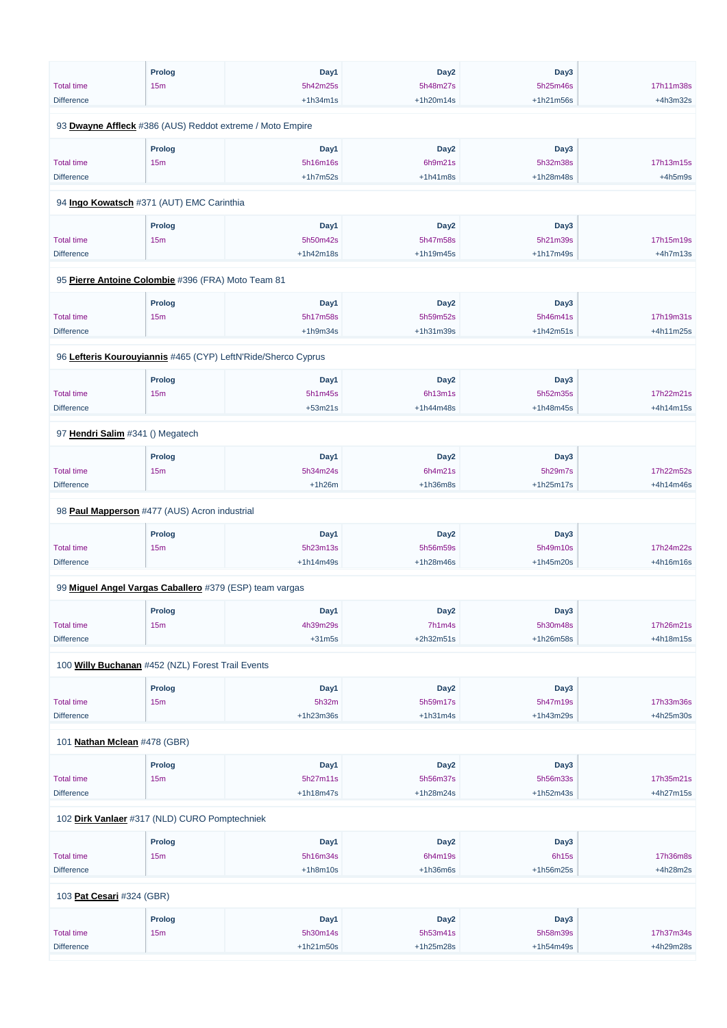|                                                         | <b>Prolog</b>                    | Day1                                                          | Day <sub>2</sub> | Day3        |            |
|---------------------------------------------------------|----------------------------------|---------------------------------------------------------------|------------------|-------------|------------|
| <b>Total time</b>                                       | 15 <sub>m</sub>                  | 5h42m25s                                                      | 5h48m27s         | 5h25m46s    | 17h11m38s  |
| <b>Difference</b>                                       |                                  | $+1h34m1s$                                                    | $+1h20m14s$      | +1h21m56s   | $+4h3m32s$ |
|                                                         |                                  |                                                               |                  |             |            |
|                                                         |                                  | 93 Dwayne Affleck #386 (AUS) Reddot extreme / Moto Empire     |                  |             |            |
|                                                         | <b>Prolog</b>                    | Day1                                                          | Day <sub>2</sub> | Day3        |            |
| <b>Total time</b>                                       | 15m                              | 5h16m16s                                                      | 6h9m21s          | 5h32m38s    | 17h13m15s  |
| <b>Difference</b>                                       |                                  | $+1h7m52s$                                                    | $+1h41m8s$       | +1h28m48s   | $+4h5m9s$  |
|                                                         |                                  |                                                               |                  |             |            |
| 94 Ingo Kowatsch #371 (AUT) EMC Carinthia               |                                  |                                                               |                  |             |            |
|                                                         | Prolog                           | Day1                                                          | Day <sub>2</sub> | Day3        |            |
| <b>Total time</b>                                       | 15m                              | 5h50m42s                                                      | 5h47m58s         | 5h21m39s    | 17h15m19s  |
| <b>Difference</b>                                       |                                  | $+1h42m18s$                                                   | $+1h19m45s$      | $+1h17m49s$ | $+4h7m13s$ |
|                                                         |                                  |                                                               |                  |             |            |
| 95 Pierre Antoine Colombie #396 (FRA) Moto Team 81      |                                  |                                                               |                  |             |            |
|                                                         | Prolog                           | Day1                                                          | Day <sub>2</sub> | Day3        |            |
| <b>Total time</b>                                       | 15m                              | 5h17m58s                                                      | 5h59m52s         | 5h46m41s    | 17h19m31s  |
| <b>Difference</b>                                       |                                  | $+1h9m34s$                                                    | $+1h31m39s$      | $+1h42m51s$ | +4h11m25s  |
|                                                         |                                  |                                                               |                  |             |            |
|                                                         |                                  | 96 Lefteris Kourouyiannis #465 (CYP) LeftN'Ride/Sherco Cyprus |                  |             |            |
|                                                         | <b>Prolog</b>                    | Day1                                                          | Day <sub>2</sub> | Day3        |            |
| <b>Total time</b>                                       | 15 <sub>m</sub>                  | 5h1m45s                                                       | 6h13m1s          | 5h52m35s    | 17h22m21s  |
| <b>Difference</b>                                       |                                  | $+53m21s$                                                     | $+1h44m48s$      | +1h48m45s   | +4h14m15s  |
|                                                         |                                  |                                                               |                  |             |            |
| 97 Hendri Salim #341 () Megatech                        |                                  |                                                               |                  |             |            |
|                                                         | Prolog                           | Day1                                                          | Day <sub>2</sub> | Day3        |            |
| <b>Total time</b>                                       | 15 <sub>m</sub>                  | 5h34m24s                                                      | 6h4m21s          | 5h29m7s     | 17h22m52s  |
| <b>Difference</b>                                       |                                  | $+1h26m$                                                      | $+1h36m8s$       | $+1h25m17s$ | +4h14m46s  |
| 98 Paul Mapperson #477 (AUS) Acron industrial           |                                  |                                                               |                  |             |            |
|                                                         |                                  |                                                               |                  |             |            |
|                                                         | <b>Prolog</b>                    | Day1                                                          | Day <sub>2</sub> | Day3        |            |
| <b>Total time</b>                                       | 15 <sub>m</sub>                  | 5h23m13s                                                      | 5h56m59s         | 5h49m10s    | 17h24m22s  |
| <b>Difference</b>                                       |                                  | $+1h14m49s$                                                   | $+1h28m46s$      | $+1h45m20s$ | +4h16m16s  |
| 99 Miguel Angel Vargas Caballero #379 (ESP) team vargas |                                  |                                                               |                  |             |            |
|                                                         |                                  | Day1                                                          | Day <sub>2</sub> | Day3        |            |
| <b>Total time</b>                                       | <b>Prolog</b><br>15 <sub>m</sub> | 4h39m29s                                                      | 7h1m4s           | 5h30m48s    | 17h26m21s  |
| <b>Difference</b>                                       |                                  | $+31m5s$                                                      | $+2h32m51s$      | +1h26m58s   | +4h18m15s  |
|                                                         |                                  |                                                               |                  |             |            |
| 100 Willy Buchanan #452 (NZL) Forest Trail Events       |                                  |                                                               |                  |             |            |
|                                                         | <b>Prolog</b>                    | Day1                                                          | Day <sub>2</sub> | Day3        |            |
| <b>Total time</b>                                       | 15 <sub>m</sub>                  | 5h32m                                                         | 5h59m17s         | 5h47m19s    | 17h33m36s  |
| <b>Difference</b>                                       |                                  | +1h23m36s                                                     | $+1h31m4s$       | +1h43m29s   | +4h25m30s  |
|                                                         |                                  |                                                               |                  |             |            |
| 101 Nathan Mclean #478 (GBR)                            |                                  |                                                               |                  |             |            |
|                                                         |                                  |                                                               |                  |             |            |

| <b>Prolog</b> | Day1 | Day <sub>2</sub> | Day3 |  |
|---------------|------|------------------|------|--|
|               |      |                  |      |  |

| <b>Total time</b>         | 15m                                           | 5h27m11s    | 5h56m37s         | 5h56m33s          | 17h35m21s   |
|---------------------------|-----------------------------------------------|-------------|------------------|-------------------|-------------|
| <b>Difference</b>         |                                               | $+1h18m47s$ | $+1h28m24s$      | $+1h52m43s$       | $+4h27m15s$ |
|                           |                                               |             |                  |                   |             |
|                           | 102 Dirk Vanlaer #317 (NLD) CURO Pomptechniek |             |                  |                   |             |
|                           | <b>Prolog</b>                                 | Day1        | Day <sub>2</sub> | Day3              |             |
| <b>Total time</b>         | 15 <sub>m</sub>                               | 5h16m34s    | 6h4m19s          | 6h <sub>15s</sub> | 17h36m8s    |
| <b>Difference</b>         |                                               | $+1h8m10s$  | $+1h36m6s$       | $+1h56m25s$       | $+4h28m2s$  |
|                           |                                               |             |                  |                   |             |
| 103 Pat Cesari #324 (GBR) |                                               |             |                  |                   |             |
|                           | Prolog                                        | Day1        | Day <sub>2</sub> | Day3              |             |
| <b>Total time</b>         | 15m                                           | 5h30m14s    | 5h53m41s         | 5h58m39s          | 17h37m34s   |
| <b>Difference</b>         |                                               | $+1h21m50s$ | $+1h25m28s$      | $+1h54m49s$       | +4h29m28s   |
|                           |                                               |             |                  |                   |             |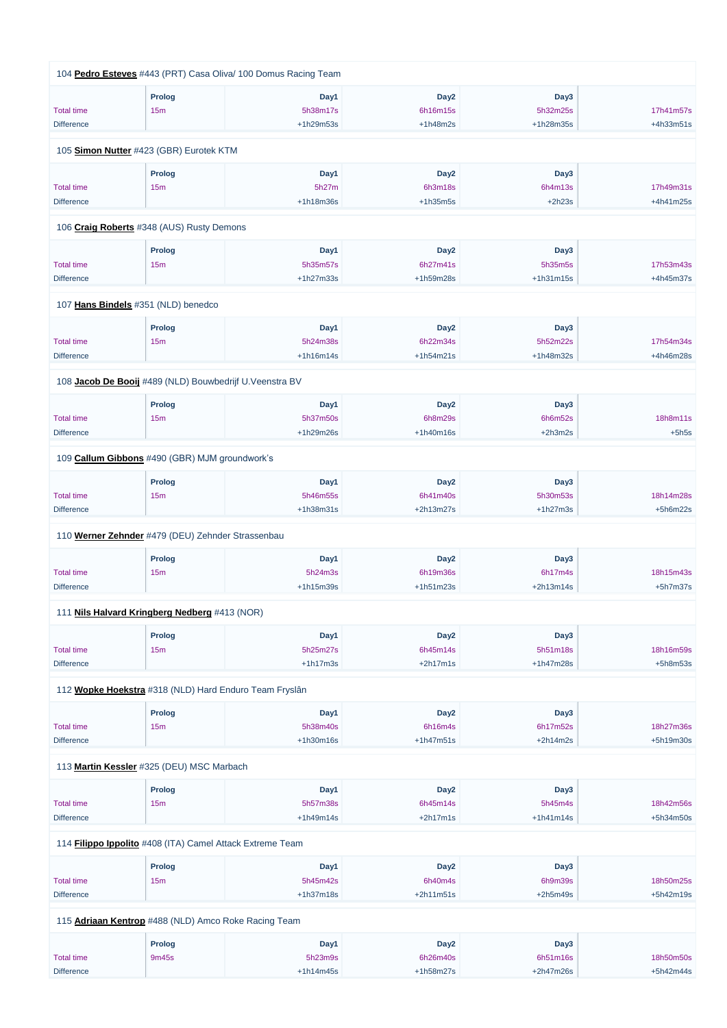|                   | 104 Pedro Esteves #443 (PRT) Casa Oliva/ 100 Domus Racing Team |             |                  |             |            |
|-------------------|----------------------------------------------------------------|-------------|------------------|-------------|------------|
|                   | <b>Prolog</b>                                                  | Day1        | Day <sub>2</sub> | Day3        |            |
| <b>Total time</b> | 15m                                                            | 5h38m17s    | 6h16m15s         | 5h32m25s    | 17h41m57s  |
| <b>Difference</b> |                                                                | +1h29m53s   | $+1h48m2s$       | +1h28m35s   | +4h33m51s  |
|                   | 105 Simon Nutter #423 (GBR) Eurotek KTM                        |             |                  |             |            |
|                   | <b>Prolog</b>                                                  | Day1        | Day <sub>2</sub> | Day3        |            |
| <b>Total time</b> | 15 <sub>m</sub>                                                | 5h27m       | 6h3m18s          | 6h4m13s     | 17h49m31s  |
| <b>Difference</b> |                                                                | $+1h18m36s$ | $+1h35m5s$       | $+2h23s$    | +4h41m25s  |
|                   | 106 Craig Roberts #348 (AUS) Rusty Demons                      |             |                  |             |            |
|                   | <b>Prolog</b>                                                  | Day1        | Day <sub>2</sub> | Day3        |            |
| <b>Total time</b> | 15m                                                            | 5h35m57s    | 6h27m41s         | 5h35m5s     | 17h53m43s  |
| <b>Difference</b> |                                                                | $+1h27m33s$ | +1h59m28s        | $+1h31m15s$ | +4h45m37s  |
|                   | 107 Hans Bindels #351 (NLD) benedco                            |             |                  |             |            |
|                   | <b>Prolog</b>                                                  | Day1        | Day <sub>2</sub> | Day3        |            |
| <b>Total time</b> | 15 <sub>m</sub>                                                | 5h24m38s    | 6h22m34s         | 5h52m22s    | 17h54m34s  |
| <b>Difference</b> |                                                                | $+1h16m14s$ | $+1h54m21s$      | +1h48m32s   | +4h46m28s  |
|                   |                                                                |             |                  |             |            |
|                   | 108 Jacob De Booij #489 (NLD) Bouwbedrijf U.Veenstra BV        |             |                  |             |            |
|                   | <b>Prolog</b>                                                  | Day1        | Day <sub>2</sub> | Day3        |            |
| <b>Total time</b> | 15m                                                            | 5h37m50s    | 6h8m29s          | 6h6m52s     | 18h8m11s   |
| <b>Difference</b> |                                                                | +1h29m26s   | $+1h40m16s$      | $+2h3m2s$   | $+5h5s$    |
|                   | 109 Callum Gibbons #490 (GBR) MJM groundwork's                 |             |                  |             |            |
|                   | <b>Prolog</b>                                                  | Day1        | Day <sub>2</sub> | Day3        |            |
| <b>Total time</b> | 15m                                                            | 5h46m55s    | 6h41m40s         | 5h30m53s    | 18h14m28s  |
| <b>Difference</b> |                                                                | $+1h38m31s$ | +2h13m27s        | $+1h27m3s$  | $+5h6m22s$ |
|                   | 110 Werner Zehnder #479 (DEU) Zehnder Strassenbau              |             |                  |             |            |
|                   | <b>Prolog</b>                                                  | Day1        | Day <sub>2</sub> | Day3        |            |
| <b>Total time</b> | 15 <sub>m</sub>                                                | 5h24m3s     | 6h19m36s         | 6h17m4s     | 18h15m43s  |
| <b>Difference</b> |                                                                | $+1h15m39s$ | $+1h51m23s$      | $+2h13m14s$ | $+5h7m37s$ |
|                   | 111 Nils Halvard Kringberg Nedberg #413 (NOR)                  |             |                  |             |            |
|                   | <b>Prolog</b>                                                  | Day1        | Day <sub>2</sub> | Day3        |            |
| <b>Total time</b> | 15m                                                            | 5h25m27s    | 6h45m14s         | 5h51m18s    | 18h16m59s  |
| <b>Difference</b> |                                                                | $+1h17m3s$  | $+2h17m1s$       | +1h47m28s   | $+5h8m53s$ |
|                   | 112 Wopke Hoekstra #318 (NLD) Hard Enduro Team Fryslân         |             |                  |             |            |
|                   |                                                                |             |                  |             |            |
|                   | <b>Prolog</b>                                                  | Day1        | Day <sub>2</sub> | Day3        |            |
| <b>Total time</b> | 15m                                                            | 5h38m40s    | 6h16m4s          | 6h17m52s    | 18h27m36s  |
| <b>Difference</b> |                                                                | $+1h30m16s$ | $+1h47m51s$      | $+2h14m2s$  | +5h19m30s  |
|                   |                                                                |             |                  |             |            |

113 **[Martin Kessler](https://www.redbullromaniacs.com/for-competitors/profile/?e=rbr2019&b=325)** #325 (DEU) MSC Marbach

|                                                             | <b>Prolog</b>   | Day1        | Day <sub>2</sub> | Day3        |             |  |  |  |
|-------------------------------------------------------------|-----------------|-------------|------------------|-------------|-------------|--|--|--|
| <b>Total time</b>                                           | 15 <sub>m</sub> | 5h57m38s    | 6h45m14s         | 5h45m4s     | 18h42m56s   |  |  |  |
| <b>Difference</b>                                           |                 | $+1h49m14s$ | $+2h17m1s$       | $+1h41m14s$ | $+5h34m50s$ |  |  |  |
| 114 Filippo Ippolito #408 (ITA) Camel Attack Extreme Team   |                 |             |                  |             |             |  |  |  |
|                                                             | <b>Prolog</b>   | Day1        | Day <sub>2</sub> | Day3        |             |  |  |  |
| <b>Total time</b>                                           | 15m             | 5h45m42s    | 6h40m4s          | 6h9m39s     | 18h50m25s   |  |  |  |
| <b>Difference</b>                                           |                 | $+1h37m18s$ | $+2h11m51s$      | $+2h5m49s$  | $+5h42m19s$ |  |  |  |
| 115 <b>Adriaan Kentrop</b> #488 (NLD) Amco Roke Racing Team |                 |             |                  |             |             |  |  |  |
|                                                             | <b>Prolog</b>   | Day1        | Day <sub>2</sub> | Day3        |             |  |  |  |
| Total time                                                  | 9m45s           | 5h23m9s     | 6h26m40s         | 6h51m16s    | 18h50m50s   |  |  |  |
| <b>Difference</b>                                           |                 | $+1h14m45s$ | +1h58m27s        | $+2h47m26s$ | $+5h42m44s$ |  |  |  |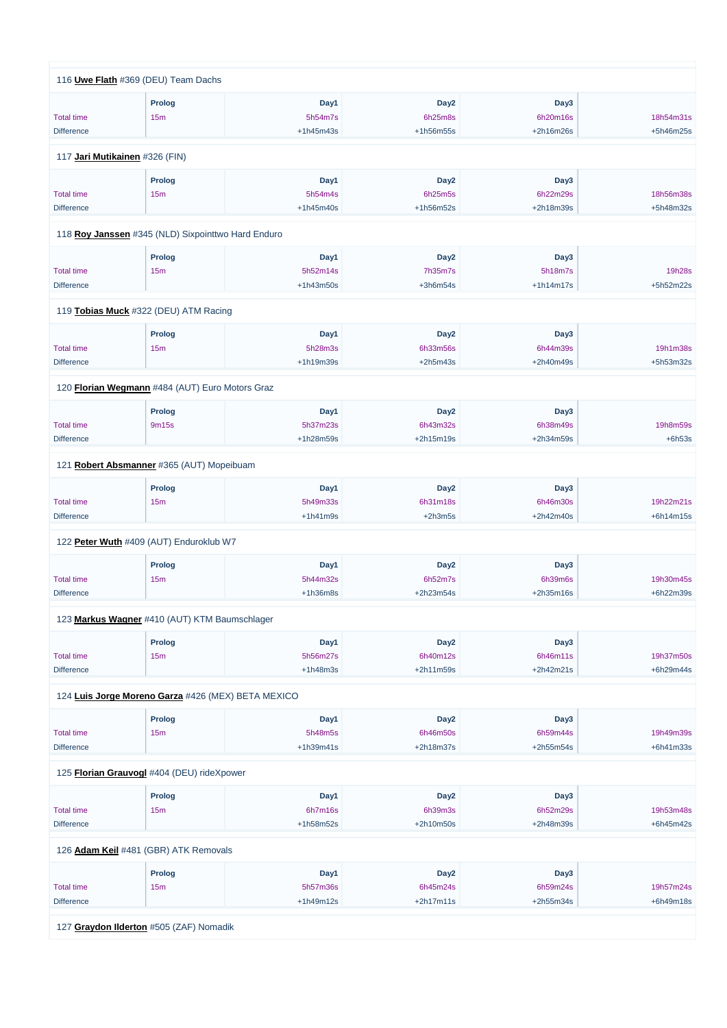|                   | 116 Uwe Flath #369 (DEU) Team Dachs                |             |                  |             |           |
|-------------------|----------------------------------------------------|-------------|------------------|-------------|-----------|
|                   |                                                    | Day1        | Day <sub>2</sub> | Day3        |           |
|                   | <b>Prolog</b>                                      |             |                  |             |           |
| <b>Total time</b> | 15 <sub>m</sub>                                    | 5h54m7s     | 6h25m8s          | 6h20m16s    | 18h54m31s |
| <b>Difference</b> |                                                    | $+1h45m43s$ | +1h56m55s        | +2h16m26s   | +5h46m25s |
|                   | 117 Jari Mutikainen #326 (FIN)                     |             |                  |             |           |
|                   | <b>Prolog</b>                                      | Day1        | Day <sub>2</sub> | Day3        |           |
| <b>Total time</b> | 15m                                                | 5h54m4s     | 6h25m5s          | 6h22m29s    | 18h56m38s |
| <b>Difference</b> |                                                    | $+1h45m40s$ | +1h56m52s        | +2h18m39s   | +5h48m32s |
|                   |                                                    |             |                  |             |           |
|                   | 118 Roy Janssen #345 (NLD) Sixpointtwo Hard Enduro |             |                  |             |           |
|                   | <b>Prolog</b>                                      | Day1        | Day <sub>2</sub> | Day3        |           |
| <b>Total time</b> | 15 <sub>m</sub>                                    | 5h52m14s    | 7h35m7s          | 5h18m7s     | 19h28s    |
| <b>Difference</b> |                                                    | $+1h43m50s$ | $+3h6m54s$       | $+1h14m17s$ | +5h52m22s |
|                   | 119 Tobias Muck #322 (DEU) ATM Racing              |             |                  |             |           |
|                   |                                                    |             |                  |             |           |
|                   | <b>Prolog</b>                                      | Day1        | Day <sub>2</sub> | Day3        |           |
| <b>Total time</b> | 15m                                                | 5h28m3s     | 6h33m56s         | 6h44m39s    | 19h1m38s  |
| <b>Difference</b> |                                                    | +1h19m39s   | $+2h5m43s$       | +2h40m49s   | +5h53m32s |
|                   | 120 Florian Wegmann #484 (AUT) Euro Motors Graz    |             |                  |             |           |
|                   | <b>Prolog</b>                                      | Day1        | Day <sub>2</sub> | Day3        |           |
| <b>Total time</b> | 9m15s                                              | 5h37m23s    | 6h43m32s         | 6h38m49s    | 19h8m59s  |
| <b>Difference</b> |                                                    | +1h28m59s   | $+2h15m19s$      | +2h34m59s   | $+6h53s$  |
|                   |                                                    |             |                  |             |           |
|                   | 121 Robert Absmanner #365 (AUT) Mopeibuam          |             |                  |             |           |
|                   | <b>Prolog</b>                                      | Day1        | Day <sub>2</sub> | Day3        |           |
| <b>Total time</b> | 15m                                                | 5h49m33s    | 6h31m18s         | 6h46m30s    | 19h22m21s |
| <b>Difference</b> |                                                    | $+1h41m9s$  | $+2h3m5s$        | +2h42m40s   | +6h14m15s |
|                   | 122 Peter Wuth #409 (AUT) Enduroklub W7            |             |                  |             |           |
|                   |                                                    |             |                  |             |           |
|                   | Prolog                                             | Day1        | Day <sub>2</sub> | Day3        |           |
| <b>Total time</b> | 15 <sub>m</sub>                                    | 5h44m32s    | 6h52m7s          | 6h39m6s     | 19h30m45s |
| <b>Difference</b> |                                                    | $+1h36m8s$  | +2h23m54s        | $+2h35m16s$ | +6h22m39s |
|                   | 123 Markus Wagner #410 (AUT) KTM Baumschlager      |             |                  |             |           |
|                   | <b>Prolog</b>                                      | Day1        | Day <sub>2</sub> | Day3        |           |
| <b>Total time</b> | 15 <sub>m</sub>                                    | 5h56m27s    | 6h40m12s         | 6h46m11s    | 19h37m50s |
| <b>Difference</b> |                                                    | $+1h48m3s$  | +2h11m59s        | $+2h42m21s$ | +6h29m44s |
|                   |                                                    |             |                  |             |           |
|                   | 124 Luis Jorge Moreno Garza #426 (MEX) BETA MEXICO |             |                  |             |           |
|                   | Prolog                                             | Day1        | Day <sub>2</sub> | Day3        |           |
| <b>Total time</b> | 15 <sub>m</sub>                                    | 5h48m5s     | 6h46m50s         | 6h59m44s    | 19h49m39s |
| <b>Difference</b> |                                                    | +1h39m41s   | +2h18m37s        | +2h55m54s   | +6h41m33s |
|                   |                                                    |             |                  |             |           |

125 **[Florian Grauvogl](https://www.redbullromaniacs.com/for-competitors/profile/?e=rbr2019&b=404)** #404 (DEU) rideXpower

| .                 |                                         |             |                  |             |             |  |
|-------------------|-----------------------------------------|-------------|------------------|-------------|-------------|--|
|                   | Prolog                                  | Day1        | Day <sub>2</sub> | Day3        |             |  |
| <b>Total time</b> | 15m                                     | 6h7m16s     | 6h39m3s          | 6h52m29s    | 19h53m48s   |  |
| <b>Difference</b> |                                         | $+1h58m52s$ | $+2h10m50s$      | $+2h48m39s$ | $+6h45m42s$ |  |
|                   |                                         |             |                  |             |             |  |
|                   | 126 Adam Keil #481 (GBR) ATK Removals   |             |                  |             |             |  |
|                   | Prolog                                  | Day1        | Day <sub>2</sub> | Day3        |             |  |
| <b>Total time</b> | 15m                                     | 5h57m36s    | 6h45m24s         | 6h59m24s    | 19h57m24s   |  |
| <b>Difference</b> |                                         | $+1h49m12s$ | $+2h17m11s$      | $+2h55m34s$ | $+6h49m18s$ |  |
|                   |                                         |             |                  |             |             |  |
|                   | 127 Graydon Ilderton #505 (ZAF) Nomadik |             |                  |             |             |  |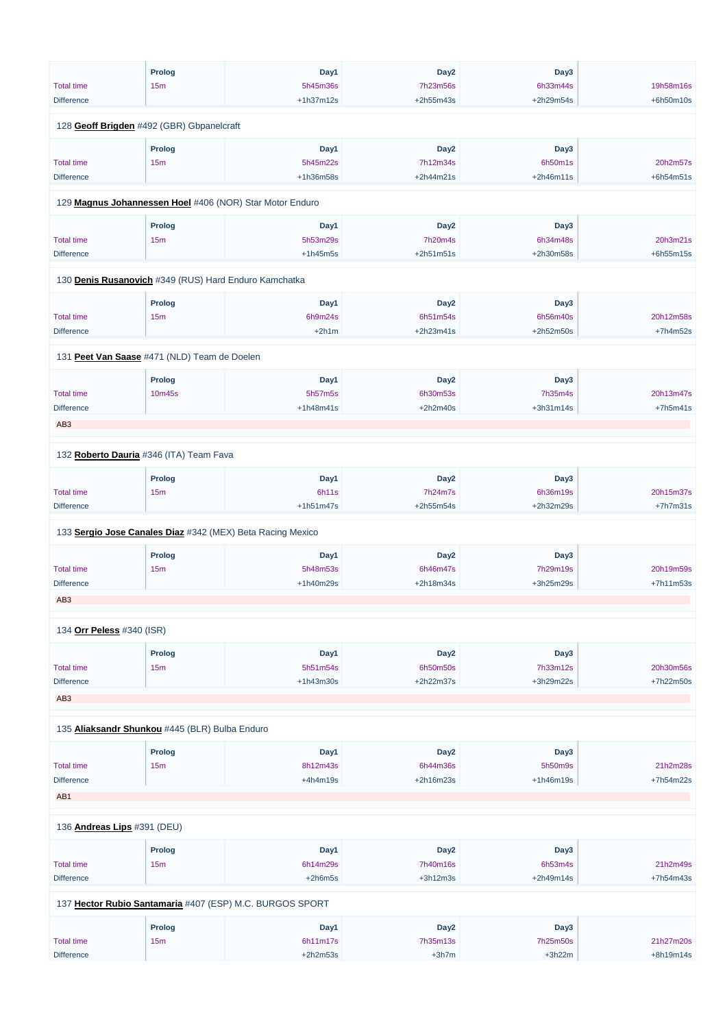|                                                       | Prolog          | Day1                                                       | Day <sub>2</sub> | Day3        |            |
|-------------------------------------------------------|-----------------|------------------------------------------------------------|------------------|-------------|------------|
| <b>Total time</b>                                     | 15m             | 5h45m36s                                                   | 7h23m56s         | 6h33m44s    | 19h58m16s  |
| <b>Difference</b>                                     |                 | $+1h37m12s$                                                | +2h55m43s        | +2h29m54s   | +6h50m10s  |
|                                                       |                 |                                                            |                  |             |            |
| 128 Geoff Brigden #492 (GBR) Gbpanelcraft             |                 |                                                            |                  |             |            |
|                                                       | <b>Prolog</b>   | Day1                                                       | Day <sub>2</sub> | Day3        |            |
| <b>Total time</b>                                     | 15m             | 5h45m22s                                                   | 7h12m34s         | 6h50m1s     | 20h2m57s   |
| <b>Difference</b>                                     |                 | +1h36m58s                                                  | $+2h44m21s$      | $+2h46m11s$ | +6h54m51s  |
|                                                       |                 |                                                            |                  |             |            |
|                                                       |                 | 129 Magnus Johannessen Hoel #406 (NOR) Star Motor Enduro   |                  |             |            |
|                                                       | Prolog          | Day1                                                       | Day <sub>2</sub> | Day3        |            |
| <b>Total time</b>                                     | 15m             | 5h53m29s                                                   | 7h20m4s          | 6h34m48s    | 20h3m21s   |
| <b>Difference</b>                                     |                 | $+1h45m5s$                                                 | $+2h51m51s$      | +2h30m58s   | +6h55m15s  |
|                                                       |                 |                                                            |                  |             |            |
| 130 Denis Rusanovich #349 (RUS) Hard Enduro Kamchatka |                 |                                                            |                  |             |            |
|                                                       | Prolog          | Day1                                                       | Day <sub>2</sub> | Day3        |            |
| <b>Total time</b>                                     | 15 <sub>m</sub> | 6h9m24s                                                    | 6h51m54s         | 6h56m40s    | 20h12m58s  |
| <b>Difference</b>                                     |                 | $+2h1m$                                                    | $+2h23m41s$      | +2h52m50s   | $+7h4m52s$ |
|                                                       |                 |                                                            |                  |             |            |
| 131 Peet Van Saase #471 (NLD) Team de Doelen          |                 |                                                            |                  |             |            |
|                                                       | Prolog          | Day1                                                       | Day <sub>2</sub> | Day3        |            |
| <b>Total time</b>                                     | 10m45s          | 5h57m5s                                                    | 6h30m53s         | 7h35m4s     | 20h13m47s  |
| <b>Difference</b>                                     |                 | $+1h48m41s$                                                | $+2h2m40s$       | +3h31m14s   | $+7h5m41s$ |
|                                                       |                 |                                                            |                  |             |            |
| AB <sub>3</sub>                                       |                 |                                                            |                  |             |            |
| 132 Roberto Dauria #346 (ITA) Team Fava               |                 |                                                            |                  |             |            |
|                                                       |                 |                                                            |                  |             |            |
|                                                       | <b>Prolog</b>   | Day1                                                       | Day <sub>2</sub> | Day3        |            |
| <b>Total time</b>                                     | 15 <sub>m</sub> | 6h11s                                                      | 7h24m7s          | 6h36m19s    | 20h15m37s  |
| <b>Difference</b>                                     |                 | $+1h51m47s$                                                | +2h55m54s        | +2h32m29s   | $+7h7m31s$ |
|                                                       |                 | 133 Sergio Jose Canales Diaz #342 (MEX) Beta Racing Mexico |                  |             |            |
|                                                       | <b>Prolog</b>   | Day1                                                       | Day <sub>2</sub> | Day3        |            |
| <b>Total time</b>                                     | 15m             | 5h48m53s                                                   | 6h46m47s         | 7h29m19s    | 20h19m59s  |
| <b>Difference</b>                                     |                 | +1h40m29s                                                  | +2h18m34s        | +3h25m29s   | +7h11m53s  |
|                                                       |                 |                                                            |                  |             |            |
| AB <sub>3</sub>                                       |                 |                                                            |                  |             |            |
| 134 Orr Peless #340 (ISR)                             |                 |                                                            |                  |             |            |
|                                                       | Prolog          | Day1                                                       | Day <sub>2</sub> | Day3        |            |
| <b>Total time</b>                                     | 15m             | 5h51m54s                                                   | 6h50m50s         | 7h33m12s    | 20h30m56s  |
| <b>Difference</b>                                     |                 | +1h43m30s                                                  | +2h22m37s        | +3h29m22s   | +7h22m50s  |
| AB <sub>3</sub>                                       |                 |                                                            |                  |             |            |
|                                                       |                 |                                                            |                  |             |            |
| 135 Aliaksandr Shunkou #445 (BLR) Bulba Enduro        |                 |                                                            |                  |             |            |
|                                                       |                 |                                                            |                  |             |            |
|                                                       | <b>Prolog</b>   | Day1                                                       | Day <sub>2</sub> | Day3        |            |

Total time

15m

8h12m43s

6h44m36s

5h50m9s

21h2m28s

| <b>Difference</b>                  |                 | $+4h4m19s$                                               | $+2h16m23s$      | $+1h46m19s$ | +7h54m22s   |
|------------------------------------|-----------------|----------------------------------------------------------|------------------|-------------|-------------|
| AB1                                |                 |                                                          |                  |             |             |
| 136 <b>Andreas Lips</b> #391 (DEU) |                 |                                                          |                  |             |             |
|                                    | Prolog          | Day1                                                     | Day <sub>2</sub> | Day3        |             |
| <b>Total time</b>                  | 15m             | 6h14m29s                                                 | 7h40m16s         | 6h53m4s     | 21h2m49s    |
| <b>Difference</b>                  |                 | $+2h6m5s$                                                | $+3h12m3s$       | $+2h49m14s$ | $+7h54m43s$ |
|                                    |                 | 137 Hector Rubio Santamaria #407 (ESP) M.C. BURGOS SPORT |                  |             |             |
|                                    | <b>Prolog</b>   | Day1                                                     | Day <sub>2</sub> | Day3        |             |
| <b>Total time</b>                  | 15 <sub>m</sub> | 6h11m17s                                                 | 7h35m13s         | 7h25m50s    | 21h27m20s   |
| <b>Difference</b>                  |                 | $+2h2m53s$                                               | $+3h7m$          | $+3h22m$    | $+8h19m14s$ |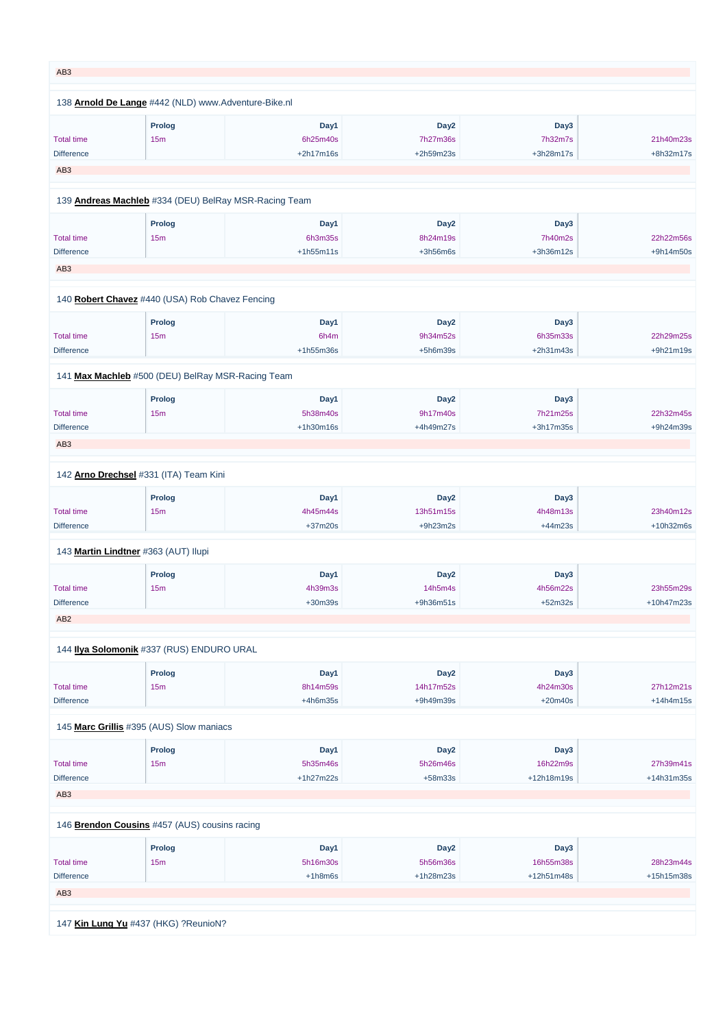| AB <sub>3</sub>                      |                                                       |             |                  |           |            |
|--------------------------------------|-------------------------------------------------------|-------------|------------------|-----------|------------|
|                                      |                                                       |             |                  |           |            |
|                                      | 138 Arnold De Lange #442 (NLD) www.Adventure-Bike.nl  |             |                  |           |            |
|                                      | <b>Prolog</b>                                         | Day1        | Day <sub>2</sub> | Day3      |            |
| <b>Total time</b>                    | 15m                                                   | 6h25m40s    | 7h27m36s         | 7h32m7s   | 21h40m23s  |
| <b>Difference</b>                    |                                                       | $+2h17m16s$ | +2h59m23s        | +3h28m17s | +8h32m17s  |
| AB <sub>3</sub>                      |                                                       |             |                  |           |            |
|                                      | 139 Andreas Machleb #334 (DEU) BelRay MSR-Racing Team |             |                  |           |            |
|                                      |                                                       |             |                  |           |            |
|                                      | <b>Prolog</b>                                         | Day1        | Day <sub>2</sub> | Day3      |            |
| <b>Total time</b>                    | 15 <sub>m</sub>                                       | 6h3m35s     | 8h24m19s         | 7h40m2s   | 22h22m56s  |
| <b>Difference</b>                    |                                                       | $+1h55m11s$ | $+3h56m6s$       | +3h36m12s | +9h14m50s  |
| AB <sub>3</sub>                      |                                                       |             |                  |           |            |
|                                      | 140 Robert Chavez #440 (USA) Rob Chavez Fencing       |             |                  |           |            |
|                                      | <b>Prolog</b>                                         | Day1        | Day <sub>2</sub> | Day3      |            |
|                                      |                                                       |             |                  |           |            |
| <b>Total time</b>                    | 15m                                                   | 6h4m        | 9h34m52s         | 6h35m33s  | 22h29m25s  |
| <b>Difference</b>                    |                                                       | $+1h55m36s$ | $+5h6m39s$       | +2h31m43s | +9h21m19s  |
|                                      | 141 Max Machleb #500 (DEU) BelRay MSR-Racing Team     |             |                  |           |            |
|                                      | <b>Prolog</b>                                         | Day1        | Day <sub>2</sub> | Day3      |            |
| <b>Total time</b>                    | 15m                                                   | 5h38m40s    | 9h17m40s         | 7h21m25s  | 22h32m45s  |
| <b>Difference</b>                    |                                                       | $+1h30m16s$ | +4h49m27s        | +3h17m35s | +9h24m39s  |
| AB <sub>3</sub>                      |                                                       |             |                  |           |            |
|                                      |                                                       |             |                  |           |            |
|                                      | 142 Arno Drechsel #331 (ITA) Team Kini                |             |                  |           |            |
|                                      | <b>Prolog</b>                                         | Day1        | Day <sub>2</sub> | Day3      |            |
| <b>Total time</b>                    | 15 <sub>m</sub>                                       | 4h45m44s    | 13h51m15s        | 4h48m13s  | 23h40m12s  |
| <b>Difference</b>                    |                                                       | $+37m20s$   | $+9h23m2s$       | $+44m23s$ | +10h32m6s  |
|                                      | 143 Martin Lindtner #363 (AUT) Ilupi                  |             |                  |           |            |
|                                      |                                                       | Day1        | Day <sub>2</sub> | Day3      |            |
|                                      | <b>Prolog</b>                                         |             |                  |           |            |
| <b>Total time</b>                    | 15m                                                   | 4h39m3s     | 14h5m4s          | 4h56m22s  | 23h55m29s  |
| <b>Difference</b><br>AB <sub>2</sub> |                                                       | $+30m39s$   | +9h36m51s        | $+52m32s$ | +10h47m23s |
|                                      |                                                       |             |                  |           |            |
|                                      | 144 Ilya Solomonik #337 (RUS) ENDURO URAL             |             |                  |           |            |
|                                      | <b>Prolog</b>                                         | Day1        | Day <sub>2</sub> | Day3      |            |
| <b>Total time</b>                    | 15 <sub>m</sub>                                       | 8h14m59s    | 14h17m52s        | 4h24m30s  | 27h12m21s  |
| <b>Difference</b>                    |                                                       | $+4h6m35s$  | +9h49m39s        | $+20m40s$ | +14h4m15s  |
|                                      |                                                       |             |                  |           |            |
|                                      | 145 Marc Grillis #395 (AUS) Slow maniacs              |             |                  |           |            |
|                                      | <b>Prolog</b>                                         | Day1        | Day <sub>2</sub> | Day3      |            |
| <b>Total time</b>                    | 15m                                                   | 5h35m46s    | 5h26m46s         | 16h22m9s  | 27h39m41s  |

| <b>Difference</b> |                                               | $+1h27m22s$ | $+58m33s$        | +12h18m19s | +14h31m35s |
|-------------------|-----------------------------------------------|-------------|------------------|------------|------------|
| AB <sub>3</sub>   |                                               |             |                  |            |            |
|                   |                                               |             |                  |            |            |
|                   | 146 Brendon Cousins #457 (AUS) cousins racing |             |                  |            |            |
|                   | Prolog                                        | Day1        | Day <sub>2</sub> | Day3       |            |
| <b>Total time</b> | 15 <sub>m</sub>                               | 5h16m30s    | 5h56m36s         | 16h55m38s  | 28h23m44s  |
| <b>Difference</b> |                                               | $+1h8m6s$   | $+1h28m23s$      | +12h51m48s | +15h15m38s |
| AB <sub>3</sub>   |                                               |             |                  |            |            |
|                   |                                               |             |                  |            |            |
|                   | 147 Kin Lung Yu #437 (HKG) ?ReunioN?          |             |                  |            |            |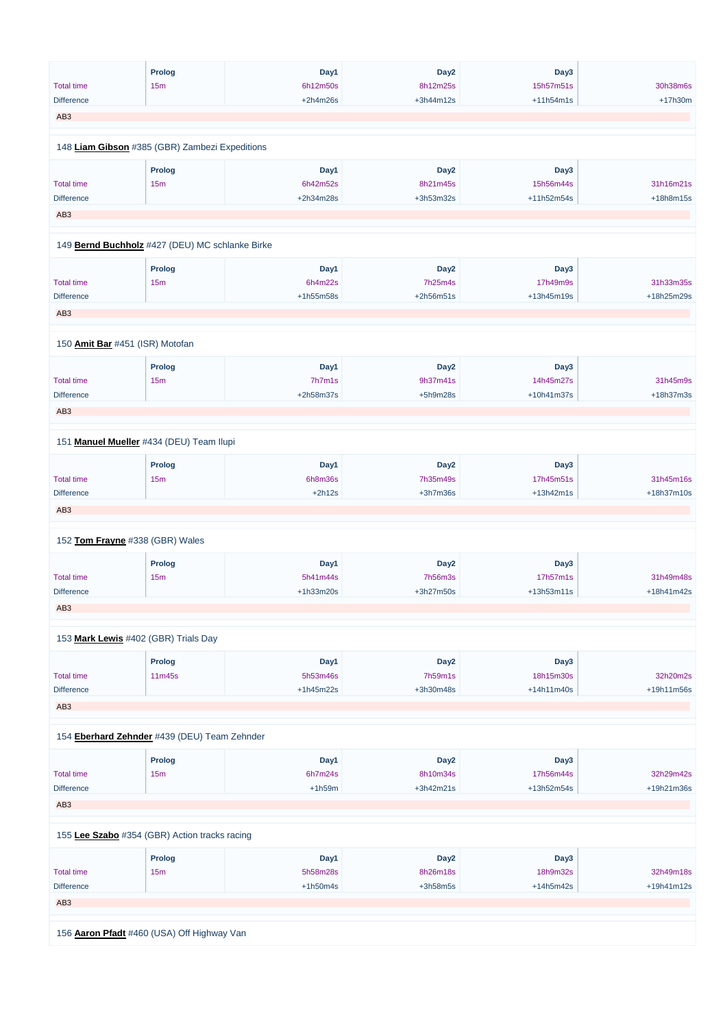|                   | <b>Prolog</b>                                   | Day1       | Day <sub>2</sub> | Day3         |            |
|-------------------|-------------------------------------------------|------------|------------------|--------------|------------|
| <b>Total time</b> | 15m                                             | 6h12m50s   | 8h12m25s         | 15h57m51s    | 30h38m6s   |
| <b>Difference</b> |                                                 | $+2h4m26s$ | +3h44m12s        | $+11h54m1s$  | +17h30m    |
| AB <sub>3</sub>   |                                                 |            |                  |              |            |
|                   |                                                 |            |                  |              |            |
|                   | 148 Liam Gibson #385 (GBR) Zambezi Expeditions  |            |                  |              |            |
|                   | Prolog                                          | Day1       | Day <sub>2</sub> | Day3         |            |
| <b>Total time</b> | 15m                                             | 6h42m52s   | 8h21m45s         | 15h56m44s    | 31h16m21s  |
| <b>Difference</b> |                                                 | +2h34m28s  | +3h53m32s        | +11h52m54s   | +18h8m15s  |
| AB <sub>3</sub>   |                                                 |            |                  |              |            |
|                   |                                                 |            |                  |              |            |
|                   | 149 Bernd Buchholz #427 (DEU) MC schlanke Birke |            |                  |              |            |
|                   | Prolog                                          | Day1       | Day <sub>2</sub> | Day3         |            |
| <b>Total time</b> | 15m                                             | 6h4m22s    | 7h25m4s          | 17h49m9s     | 31h33m35s  |
| Difference        |                                                 | +1h55m58s  | $+2h56m51s$      | +13h45m19s   | +18h25m29s |
| AB <sub>3</sub>   |                                                 |            |                  |              |            |
|                   |                                                 |            |                  |              |            |
|                   | 150 Amit Bar #451 (ISR) Motofan                 |            |                  |              |            |
|                   |                                                 |            |                  |              |            |
|                   | Prolog                                          | Day1       | Day <sub>2</sub> | Day3         |            |
| <b>Total time</b> | 15m                                             | 7h7m1s     | 9h37m41s         | 14h45m27s    | 31h45m9s   |
| <b>Difference</b> |                                                 | +2h58m37s  | $+5h9m28s$       | +10h41m37s   | +18h37m3s  |
| AB <sub>3</sub>   |                                                 |            |                  |              |            |
|                   |                                                 |            |                  |              |            |
|                   | 151 Manuel Mueller #434 (DEU) Team Ilupi        |            |                  |              |            |
|                   | Prolog                                          | Day1       | Day <sub>2</sub> | Day3         |            |
| <b>Total time</b> | 15m                                             | 6h8m36s    | 7h35m49s         | 17h45m51s    | 31h45m16s  |
| <b>Difference</b> |                                                 | $+2h12s$   | $+3h7m36s$       | $+13h42m1s$  | +18h37m10s |
| AB <sub>3</sub>   |                                                 |            |                  |              |            |
|                   |                                                 |            |                  |              |            |
|                   | 152 Tom Frayne #338 (GBR) Wales                 |            |                  |              |            |
|                   | <b>Prolog</b>                                   | Day1       | Day <sub>2</sub> | Day3         |            |
| <b>Total time</b> | 15m                                             | 5h41m44s   | 7h56m3s          | 17h57m1s     | 31h49m48s  |
| Difference        |                                                 | +1h33m20s  | +3h27m50s        | +13h53m11s   | +18h41m42s |
| AB <sub>3</sub>   |                                                 |            |                  |              |            |
|                   |                                                 |            |                  |              |            |
|                   | 153 Mark Lewis #402 (GBR) Trials Day            |            |                  |              |            |
|                   | <b>Prolog</b>                                   | Day1       | Day <sub>2</sub> | Day3         |            |
| <b>Total time</b> | 11m45s                                          | 5h53m46s   | 7h59m1s          | 18h15m30s    | 32h20m2s   |
| <b>Difference</b> |                                                 | +1h45m22s  | +3h30m48s        | $+14h11m40s$ | +19h11m56s |
| AB <sub>3</sub>   |                                                 |            |                  |              |            |
|                   |                                                 |            |                  |              |            |
|                   | 154 Eberhard Zehnder #439 (DEU) Team Zehnder    |            |                  |              |            |
|                   | Prolog                                          | Day1       | Day <sub>2</sub> | Day3         |            |

Total time 15m

6h7m24s

8h10m34s 17h56m44s 32h29m42s

| <b>Difference</b>                             |        | $+1h59m$   | $+3h42m21s$      | +13h52m54s  | +19h21m36s   |
|-----------------------------------------------|--------|------------|------------------|-------------|--------------|
| AB <sub>3</sub>                               |        |            |                  |             |              |
|                                               |        |            |                  |             |              |
| 155 Lee Szabo #354 (GBR) Action tracks racing |        |            |                  |             |              |
|                                               | Prolog | Day1       | Day <sub>2</sub> | Day3        |              |
| <b>Total time</b>                             | 15m    | 5h58m28s   | 8h26m18s         | 18h9m32s    | 32h49m18s    |
| <b>Difference</b>                             |        | $+1h50m4s$ | $+3h58m5s$       | $+14h5m42s$ | $+19h41m12s$ |
| AB <sub>3</sub>                               |        |            |                  |             |              |
|                                               |        |            |                  |             |              |
| 156 Aaron Pfadt #460 (USA) Off Highway Van    |        |            |                  |             |              |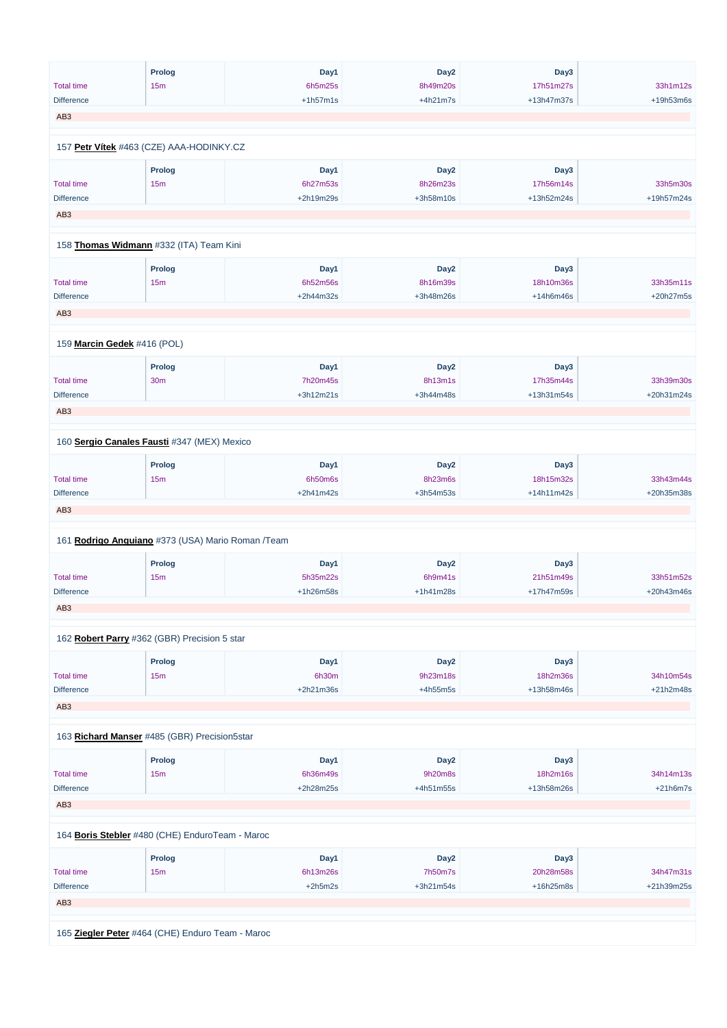|                   | <b>Prolog</b>                                     | Day1             | Day <sub>2</sub>      | Day3                   |            |
|-------------------|---------------------------------------------------|------------------|-----------------------|------------------------|------------|
| <b>Total time</b> | 15m                                               | 6h5m25s          | 8h49m20s              | 17h51m27s              | 33h1m12s   |
| <b>Difference</b> |                                                   | $+1h57m1s$       | $+4h21m7s$            | +13h47m37s             | +19h53m6s  |
| AB <sub>3</sub>   |                                                   |                  |                       |                        |            |
|                   |                                                   |                  |                       |                        |            |
|                   | 157 Petr Vítek #463 (CZE) AAA-HODINKY.CZ          |                  |                       |                        |            |
|                   | Prolog                                            | Day1             | Day <sub>2</sub>      | Day3                   |            |
| <b>Total time</b> | 15m                                               | 6h27m53s         | 8h26m23s              | 17h56m14s              | 33h5m30s   |
| <b>Difference</b> |                                                   | +2h19m29s        | +3h58m10s             | +13h52m24s             | +19h57m24s |
| AB <sub>3</sub>   |                                                   |                  |                       |                        |            |
|                   | 158 Thomas Widmann #332 (ITA) Team Kini           |                  |                       |                        |            |
|                   |                                                   |                  |                       |                        |            |
| <b>Total time</b> | <b>Prolog</b>                                     | Day1<br>6h52m56s | Day <sub>2</sub>      | Day3                   | 33h35m11s  |
| <b>Difference</b> | 15m                                               | +2h44m32s        | 8h16m39s<br>+3h48m26s | 18h10m36s<br>+14h6m46s | +20h27m5s  |
|                   |                                                   |                  |                       |                        |            |
| AB <sub>3</sub>   |                                                   |                  |                       |                        |            |
|                   | 159 Marcin Gedek #416 (POL)                       |                  |                       |                        |            |
|                   | <b>Prolog</b>                                     | Day1             | Day <sub>2</sub>      | Day3                   |            |
| <b>Total time</b> | <b>30m</b>                                        | 7h20m45s         | 8h13m1s               | 17h35m44s              | 33h39m30s  |
| <b>Difference</b> |                                                   | $+3h12m21s$      | +3h44m48s             | +13h31m54s             | +20h31m24s |
| AB <sub>3</sub>   |                                                   |                  |                       |                        |            |
|                   |                                                   |                  |                       |                        |            |
|                   | 160 Sergio Canales Fausti #347 (MEX) Mexico       |                  |                       |                        |            |
|                   | <b>Prolog</b>                                     | Day1             | Day <sub>2</sub>      | Day3                   |            |
| <b>Total time</b> | 15m                                               | 6h50m6s          | 8h23m6s               | 18h15m32s              | 33h43m44s  |
| <b>Difference</b> |                                                   | $+2h41m42s$      | +3h54m53s             | +14h11m42s             | +20h35m38s |
| AB <sub>3</sub>   |                                                   |                  |                       |                        |            |
|                   |                                                   |                  |                       |                        |            |
|                   | 161 Rodrigo Anguiano #373 (USA) Mario Roman /Team |                  |                       |                        |            |
|                   | <b>Prolog</b>                                     | Day1             | Day <sub>2</sub>      | Day3                   |            |
| <b>Total time</b> | 15m                                               | 5h35m22s         | 6h9m41s               | 21h51m49s              | 33h51m52s  |
| <b>Difference</b> |                                                   | +1h26m58s        | +1h41m28s             | +17h47m59s             | +20h43m46s |
| AB <sub>3</sub>   |                                                   |                  |                       |                        |            |
|                   | 162 Robert Parry #362 (GBR) Precision 5 star      |                  |                       |                        |            |
|                   | <b>Prolog</b>                                     | Day1             | Day <sub>2</sub>      | Day3                   |            |
| <b>Total time</b> | 15m                                               | 6h30m            | 9h23m18s              | 18h2m36s               | 34h10m54s  |
| <b>Difference</b> |                                                   | +2h21m36s        | $+4h55m5s$            | +13h58m46s             | +21h2m48s  |
| AB <sub>3</sub>   |                                                   |                  |                       |                        |            |
|                   |                                                   |                  |                       |                        |            |
|                   | 163 Richard Manser #485 (GBR) Precision5star      |                  |                       |                        |            |
|                   | <b>Prolog</b>                                     | Day1             | Day <sub>2</sub>      | Day3                   |            |
| Total time        | 15m                                               | 6h36m49s         | 9h20m8s               | 18h2m16s               | 34h14m13s  |

Total time 15m

18h2m16s 34h14m13s

| <b>Difference</b>                               |                                                  | $+2h28m25s$ | $+4h51m55s$      | +13h58m26s  | $+21h6m7s$ |  |  |  |
|-------------------------------------------------|--------------------------------------------------|-------------|------------------|-------------|------------|--|--|--|
| AB <sub>3</sub>                                 |                                                  |             |                  |             |            |  |  |  |
|                                                 |                                                  |             |                  |             |            |  |  |  |
| 164 Boris Stebler #480 (CHE) EnduroTeam - Maroc |                                                  |             |                  |             |            |  |  |  |
|                                                 | Prolog                                           | Day1        | Day <sub>2</sub> | Day3        |            |  |  |  |
| <b>Total time</b>                               | 15m                                              | 6h13m26s    | 7h50m7s          | 20h28m58s   | 34h47m31s  |  |  |  |
| <b>Difference</b>                               |                                                  | $+2h5m2s$   | $+3h21m54s$      | $+16h25m8s$ | +21h39m25s |  |  |  |
| AB <sub>3</sub>                                 |                                                  |             |                  |             |            |  |  |  |
|                                                 |                                                  |             |                  |             |            |  |  |  |
|                                                 | 165 Ziegler Peter #464 (CHE) Enduro Team - Maroc |             |                  |             |            |  |  |  |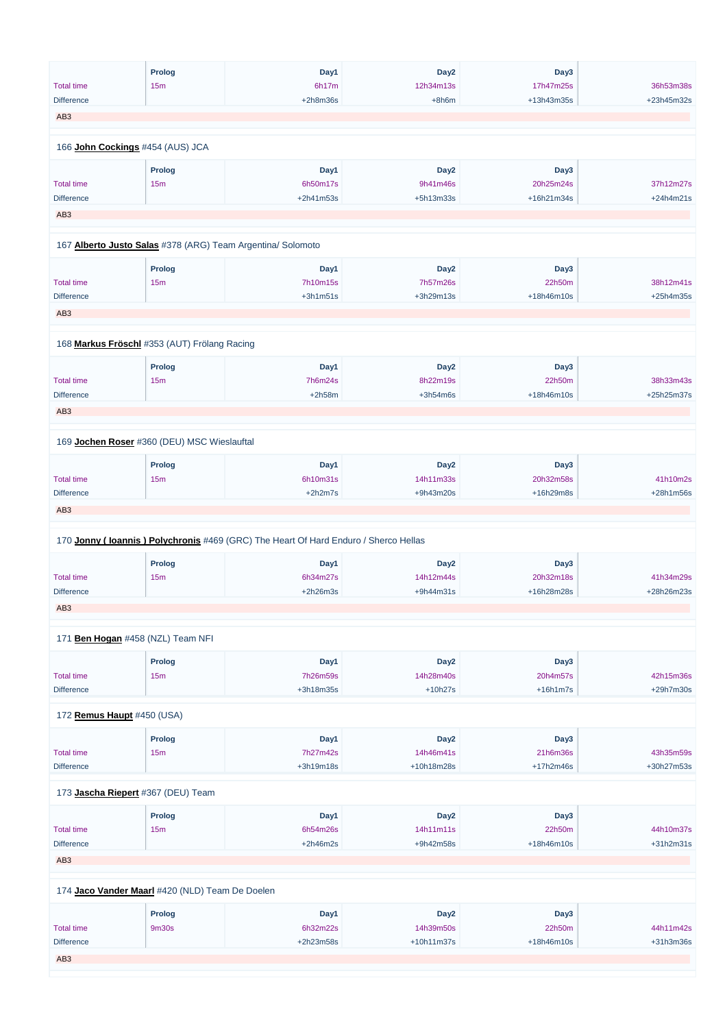|                            | <b>Prolog</b>                                               | Day1                                                                                | Day <sub>2</sub> | Day3       |            |
|----------------------------|-------------------------------------------------------------|-------------------------------------------------------------------------------------|------------------|------------|------------|
| <b>Total time</b>          | 15m                                                         | 6h17m                                                                               | 12h34m13s        | 17h47m25s  | 36h53m38s  |
| <b>Difference</b>          |                                                             | $+2h8m36s$                                                                          | $+8h6m$          | +13h43m35s | +23h45m32s |
| AB <sub>3</sub>            |                                                             |                                                                                     |                  |            |            |
|                            |                                                             |                                                                                     |                  |            |            |
|                            | 166 John Cockings #454 (AUS) JCA                            |                                                                                     |                  |            |            |
|                            | Prolog                                                      | Day1                                                                                | Day <sub>2</sub> | Day3       |            |
| <b>Total time</b>          | 15m                                                         | 6h50m17s                                                                            | 9h41m46s         | 20h25m24s  | 37h12m27s  |
| <b>Difference</b>          |                                                             | +2h41m53s                                                                           | +5h13m33s        | +16h21m34s | +24h4m21s  |
| AB <sub>3</sub>            |                                                             |                                                                                     |                  |            |            |
|                            |                                                             |                                                                                     |                  |            |            |
|                            | 167 Alberto Justo Salas #378 (ARG) Team Argentina/ Solomoto |                                                                                     |                  |            |            |
|                            | <b>Prolog</b>                                               | Day1                                                                                | Day <sub>2</sub> | Day3       |            |
| <b>Total time</b>          | 15m                                                         | 7h10m15s                                                                            | 7h57m26s         | 22h50m     | 38h12m41s  |
| <b>Difference</b>          |                                                             | $+3h1m51s$                                                                          | +3h29m13s        | +18h46m10s | +25h4m35s  |
| AB <sub>3</sub>            |                                                             |                                                                                     |                  |            |            |
|                            |                                                             |                                                                                     |                  |            |            |
|                            | 168 Markus Fröschl #353 (AUT) Frölang Racing                |                                                                                     |                  |            |            |
|                            | <b>Prolog</b>                                               | Day1                                                                                | Day <sub>2</sub> | Day3       |            |
| <b>Total time</b>          | 15m                                                         | 7h6m24s                                                                             | 8h22m19s         | 22h50m     | 38h33m43s  |
| <b>Difference</b>          |                                                             | $+2h58m$                                                                            | $+3h54m6s$       | +18h46m10s | +25h25m37s |
| AB <sub>3</sub>            |                                                             |                                                                                     |                  |            |            |
|                            |                                                             |                                                                                     |                  |            |            |
|                            | 169 Jochen Roser #360 (DEU) MSC Wieslauftal                 |                                                                                     |                  |            |            |
|                            | <b>Prolog</b>                                               | Day1                                                                                | Day <sub>2</sub> | Day3       |            |
| <b>Total time</b>          | 15m                                                         | 6h10m31s                                                                            | 14h11m33s        | 20h32m58s  | 41h10m2s   |
| <b>Difference</b>          |                                                             | $+2h2m7s$                                                                           | +9h43m20s        | +16h29m8s  | +28h1m56s  |
| AB <sub>3</sub>            |                                                             |                                                                                     |                  |            |            |
|                            |                                                             |                                                                                     |                  |            |            |
|                            |                                                             | 170 Jonny (Ioannis) Polychronis #469 (GRC) The Heart Of Hard Enduro / Sherco Hellas |                  |            |            |
|                            | <b>Prolog</b>                                               | Day1                                                                                | Day <sub>2</sub> | Day3       |            |
| <b>Total time</b>          | 15m                                                         | 6h34m27s                                                                            | 14h12m44s        | 20h32m18s  | 41h34m29s  |
| <b>Difference</b>          |                                                             | $+2h26m3s$                                                                          | $+9h44m31s$      | +16h28m28s | +28h26m23s |
| AB <sub>3</sub>            |                                                             |                                                                                     |                  |            |            |
|                            |                                                             |                                                                                     |                  |            |            |
|                            | 171 Ben Hogan #458 (NZL) Team NFI                           |                                                                                     |                  |            |            |
|                            | Prolog                                                      | Day1                                                                                | Day <sub>2</sub> | Day3       |            |
| <b>Total time</b>          | 15m                                                         | 7h26m59s                                                                            | 14h28m40s        | 20h4m57s   | 42h15m36s  |
| <b>Difference</b>          |                                                             | +3h18m35s                                                                           | $+10h27s$        | $+16h1m7s$ | +29h7m30s  |
| 172 Remus Haupt #450 (USA) |                                                             |                                                                                     |                  |            |            |
|                            | <b>Prolog</b>                                               | Day1                                                                                | Day <sub>2</sub> | Day3       |            |
| <b>Total time</b>          | 15m                                                         | 7h27m42s                                                                            | 14h46m41s        | 21h6m36s   | 43h35m59s  |
| <b>Difference</b>          |                                                             | +3h19m18s                                                                           | +10h18m28s       | +17h2m46s  | +30h27m53s |
|                            |                                                             |                                                                                     |                  |            |            |

|                   | 173 Jascha Riepert #367 (DEU) Team              |             |                  |              |             |
|-------------------|-------------------------------------------------|-------------|------------------|--------------|-------------|
|                   | <b>Prolog</b>                                   | Day1        | Day <sub>2</sub> | Day3         |             |
| <b>Total time</b> | 15m                                             | 6h54m26s    | 14h11m11s        | 22h50m       | 44h10m37s   |
| <b>Difference</b> |                                                 | $+2h46m2s$  | $+9h42m58s$      | $+18h46m10s$ | $+31h2m31s$ |
| AB <sub>3</sub>   |                                                 |             |                  |              |             |
|                   |                                                 |             |                  |              |             |
|                   | 174 Jaco Vander Maarl #420 (NLD) Team De Doelen |             |                  |              |             |
|                   | <b>Prolog</b>                                   | Day1        | Day <sub>2</sub> | Day3         |             |
| Total time        | 9m30s                                           | 6h32m22s    | 14h39m50s        | 22h50m       | 44h11m42s   |
| <b>Difference</b> |                                                 | $+2h23m58s$ | $+10h11m37s$     | +18h46m10s   | $+31h3m36s$ |
| AB <sub>3</sub>   |                                                 |             |                  |              |             |
|                   |                                                 |             |                  |              |             |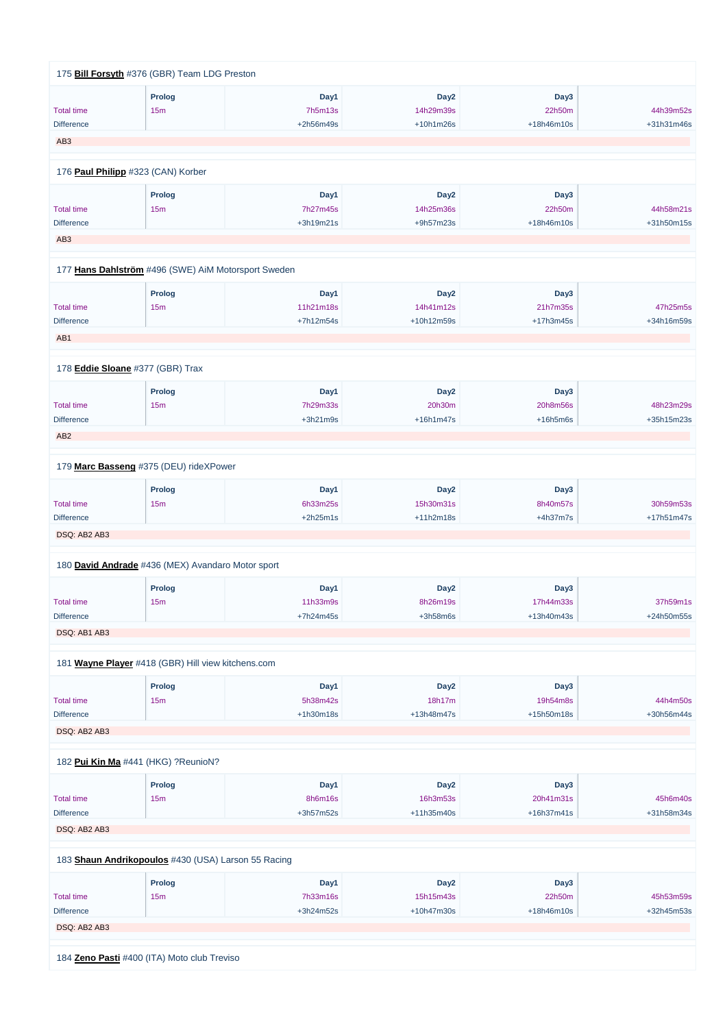|            | Day3        | Day <sub>2</sub> | Day1       | <b>Prolog</b>                                       |                   |
|------------|-------------|------------------|------------|-----------------------------------------------------|-------------------|
| 44h39m52s  | 22h50m      | 14h29m39s        | 7h5m13s    | 15m                                                 | <b>Total time</b> |
| +31h31m46s | +18h46m10s  | $+10h1m26s$      | +2h56m49s  |                                                     | <b>Difference</b> |
|            |             |                  |            |                                                     | AB <sub>3</sub>   |
|            |             |                  |            |                                                     |                   |
|            |             |                  |            | 176 Paul Philipp #323 (CAN) Korber                  |                   |
|            | Day3        | Day <sub>2</sub> | Day1       | <b>Prolog</b>                                       |                   |
| 44h58m21s  | 22h50m      | 14h25m36s        | 7h27m45s   | 15m                                                 | <b>Total time</b> |
| +31h50m15s | +18h46m10s  | +9h57m23s        | +3h19m21s  |                                                     | <b>Difference</b> |
|            |             |                  |            |                                                     | AB <sub>3</sub>   |
|            |             |                  |            |                                                     |                   |
|            |             |                  |            | 177 Hans Dahlström #496 (SWE) AiM Motorsport Sweden |                   |
|            | Day3        | Day <sub>2</sub> | Day1       | <b>Prolog</b>                                       |                   |
| 47h25m5s   | 21h7m35s    | 14h41m12s        | 11h21m18s  | 15m                                                 | <b>Total time</b> |
| +34h16m59s | $+17h3m45s$ | +10h12m59s       | +7h12m54s  |                                                     | <b>Difference</b> |
|            |             |                  |            |                                                     | AB1               |
|            |             |                  |            | 178 Eddie Sloane #377 (GBR) Trax                    |                   |
|            | Day3        | Day <sub>2</sub> | Day1       | <b>Prolog</b>                                       |                   |
| 48h23m29s  | 20h8m56s    | 20h30m           | 7h29m33s   | 15m                                                 | <b>Total time</b> |
| +35h15m23s | $+16h5m6s$  | $+16h1m47s$      | $+3h21m9s$ |                                                     | <b>Difference</b> |
|            |             |                  |            |                                                     | AB <sub>2</sub>   |
|            |             |                  |            |                                                     |                   |
|            |             |                  |            | 179 Marc Basseng #375 (DEU) rideXPower              |                   |
|            | Day3        | Day <sub>2</sub> | Day1       | <b>Prolog</b>                                       |                   |
| 30h59m53s  | 8h40m57s    | 15h30m31s        | 6h33m25s   | 15m                                                 | <b>Total time</b> |
| +17h51m47s | $+4h37m7s$  | +11h2m18s        | $+2h25m1s$ |                                                     | <b>Difference</b> |
|            |             |                  |            |                                                     | DSQ: AB2 AB3      |
|            |             |                  |            |                                                     |                   |
|            |             |                  |            | 180 David Andrade #436 (MEX) Avandaro Motor sport   |                   |
|            | Day3        | Day <sub>2</sub> | Day1       | <b>Prolog</b>                                       |                   |
| 37h59m1s   | 17h44m33s   | 8h26m19s         | 11h33m9s   | 15m                                                 | <b>Total time</b> |
| +24h50m55s | +13h40m43s  | $+3h58m6s$       | +7h24m45s  |                                                     | <b>Difference</b> |
|            |             |                  |            |                                                     | DSQ: AB1 AB3      |
|            |             |                  |            | 181 Wayne Player #418 (GBR) Hill view kitchens.com  |                   |
|            | Day3        | Day <sub>2</sub> | Day1       | Prolog                                              |                   |
| 44h4m50s   | 19h54m8s    | 18h17m           | 5h38m42s   | 15m                                                 | <b>Total time</b> |
| +30h56m44s | +15h50m18s  | +13h48m47s       | +1h30m18s  |                                                     | <b>Difference</b> |
|            |             |                  |            |                                                     |                   |
|            |             |                  |            |                                                     | DSQ: AB2 AB3      |

|                                                     | <b>Prolog</b> | Day1        | Day <sub>2</sub> | Day3         |            |
|-----------------------------------------------------|---------------|-------------|------------------|--------------|------------|
| <b>Total time</b>                                   | 15m           | 8h6m16s     | 16h3m53s         | 20h41m31s    | 45h6m40s   |
| <b>Difference</b>                                   |               | $+3h57m52s$ | $+11h35m40s$     | $+16h37m41s$ | +31h58m34s |
| DSQ: AB2 AB3                                        |               |             |                  |              |            |
|                                                     |               |             |                  |              |            |
| 183 Shaun Andrikopoulos #430 (USA) Larson 55 Racing |               |             |                  |              |            |
|                                                     | <b>Prolog</b> | Day1        | Day <sub>2</sub> | Day3         |            |
| <b>Total time</b>                                   | 15m           | 7h33m16s    | 15h15m43s        | 22h50m       | 45h53m59s  |
| <b>Difference</b>                                   |               | $+3h24m52s$ | $+10h47m30s$     | $+18h46m10s$ | +32h45m53s |
| DSQ: AB2 AB3                                        |               |             |                  |              |            |
|                                                     |               |             |                  |              |            |
| 184 Zeno Pasti #400 (ITA) Moto club Treviso         |               |             |                  |              |            |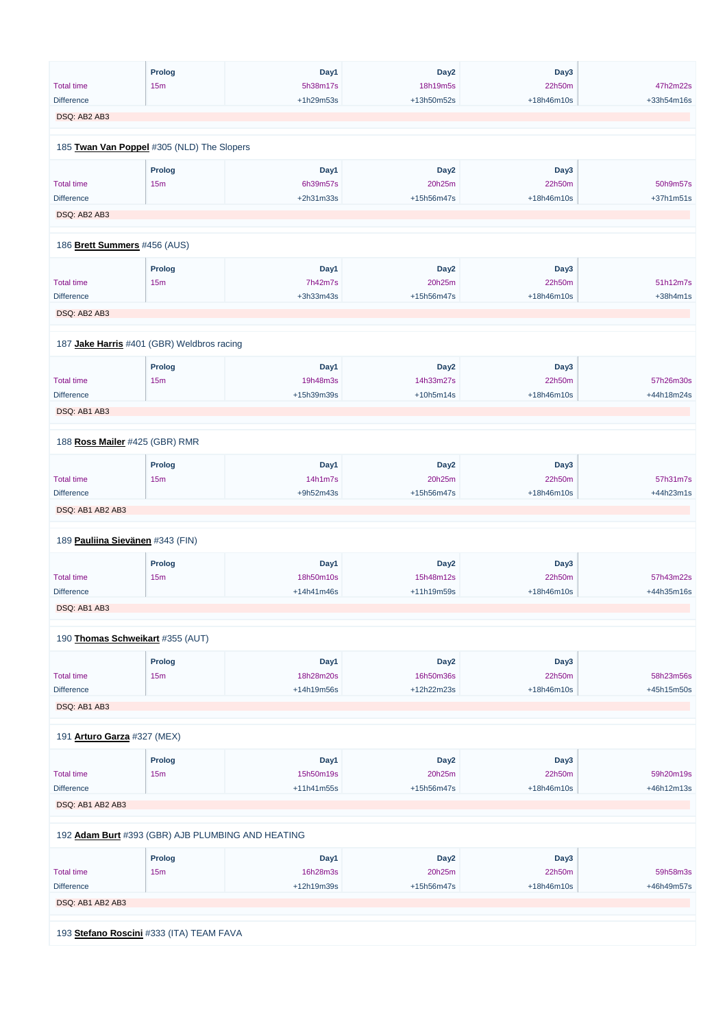|                                  | <b>Prolog</b>                              | Day1       | Day <sub>2</sub> | Day3       |            |
|----------------------------------|--------------------------------------------|------------|------------------|------------|------------|
| <b>Total time</b>                | 15m                                        | 5h38m17s   | 18h19m5s         | 22h50m     | 47h2m22s   |
| <b>Difference</b>                |                                            | +1h29m53s  | +13h50m52s       | +18h46m10s | +33h54m16s |
| DSQ: AB2 AB3                     |                                            |            |                  |            |            |
|                                  |                                            |            |                  |            |            |
|                                  | 185 Twan Van Poppel #305 (NLD) The Slopers |            |                  |            |            |
|                                  | Prolog                                     | Day1       | Day <sub>2</sub> | Day3       |            |
| <b>Total time</b>                | 15m                                        | 6h39m57s   | 20h25m           | 22h50m     | 50h9m57s   |
| <b>Difference</b>                |                                            | +2h31m33s  | +15h56m47s       | +18h46m10s | +37h1m51s  |
| DSQ: AB2 AB3                     |                                            |            |                  |            |            |
|                                  |                                            |            |                  |            |            |
| 186 Brett Summers #456 (AUS)     |                                            |            |                  |            |            |
|                                  | <b>Prolog</b>                              | Day1       | Day <sub>2</sub> | Day3       |            |
| <b>Total time</b>                | 15m                                        | 7h42m7s    | 20h25m           | 22h50m     | 51h12m7s   |
| <b>Difference</b>                |                                            | +3h33m43s  | +15h56m47s       | +18h46m10s | $+38h4m1s$ |
| DSQ: AB2 AB3                     |                                            |            |                  |            |            |
|                                  |                                            |            |                  |            |            |
|                                  | 187 Jake Harris #401 (GBR) Weldbros racing |            |                  |            |            |
|                                  | <b>Prolog</b>                              | Day1       | Day <sub>2</sub> | Day3       |            |
| <b>Total time</b>                | 15m                                        | 19h48m3s   | 14h33m27s        | 22h50m     | 57h26m30s  |
| <b>Difference</b>                |                                            | +15h39m39s | $+10h5m14s$      | +18h46m10s | +44h18m24s |
| DSQ: AB1 AB3                     |                                            |            |                  |            |            |
|                                  |                                            |            |                  |            |            |
|                                  | 188 Ross Mailer #425 (GBR) RMR             |            |                  |            |            |
|                                  | <b>Prolog</b>                              | Day1       | Day <sub>2</sub> | Day3       |            |
| <b>Total time</b>                | 15m                                        | 14h1m7s    | 20h25m           | 22h50m     | 57h31m7s   |
| <b>Difference</b>                |                                            | +9h52m43s  | +15h56m47s       | +18h46m10s | +44h23m1s  |
| DSQ: AB1 AB2 AB3                 |                                            |            |                  |            |            |
|                                  |                                            |            |                  |            |            |
| 189 Pauliina Sievänen #343 (FIN) |                                            |            |                  |            |            |
|                                  | Prolog                                     | Day1       | Day <sub>2</sub> | Day3       |            |
| <b>Total time</b>                | 15m                                        | 18h50m10s  | 15h48m12s        | 22h50m     | 57h43m22s  |
| Difference                       |                                            | +14h41m46s | +11h19m59s       | +18h46m10s | +44h35m16s |
| DSQ: AB1 AB3                     |                                            |            |                  |            |            |
|                                  | 190 Thomas Schweikart #355 (AUT)           |            |                  |            |            |
|                                  | Prolog                                     | Day1       | Day <sub>2</sub> | Day3       |            |
| <b>Total time</b>                | 15m                                        | 18h28m20s  | 16h50m36s        | 22h50m     | 58h23m56s  |
| <b>Difference</b>                |                                            | +14h19m56s | +12h22m23s       | +18h46m10s | +45h15m50s |
| DSQ: AB1 AB3                     |                                            |            |                  |            |            |
|                                  |                                            |            |                  |            |            |
| 191 Arturo Garza #327 (MEX)      |                                            |            |                  |            |            |
|                                  | <b>Prolog</b>                              | Day1       | Day <sub>2</sub> | Day3       |            |
|                                  |                                            |            |                  |            |            |

| Total time                                        | 15 <sub>m</sub>                          | 15h50m19s    | 20h25m           | 22h50m       | 59h20m19s    |  |  |  |
|---------------------------------------------------|------------------------------------------|--------------|------------------|--------------|--------------|--|--|--|
| <b>Difference</b>                                 |                                          | $+11h41m55s$ | +15h56m47s       | $+18h46m10s$ | $+46h12m13s$ |  |  |  |
| DSQ: AB1 AB2 AB3                                  |                                          |              |                  |              |              |  |  |  |
| 192 Adam Burt #393 (GBR) AJB PLUMBING AND HEATING |                                          |              |                  |              |              |  |  |  |
|                                                   | Prolog                                   | Day1         | Day <sub>2</sub> | Day3         |              |  |  |  |
| <b>Total time</b>                                 | 15 <sub>m</sub>                          | 16h28m3s     | 20h25m           | 22h50m       | 59h58m3s     |  |  |  |
| <b>Difference</b>                                 |                                          | +12h19m39s   | +15h56m47s       | $+18h46m10s$ | +46h49m57s   |  |  |  |
| DSQ: AB1 AB2 AB3                                  |                                          |              |                  |              |              |  |  |  |
|                                                   |                                          |              |                  |              |              |  |  |  |
|                                                   | 193 Stefano Roscini #333 (ITA) TEAM FAVA |              |                  |              |              |  |  |  |